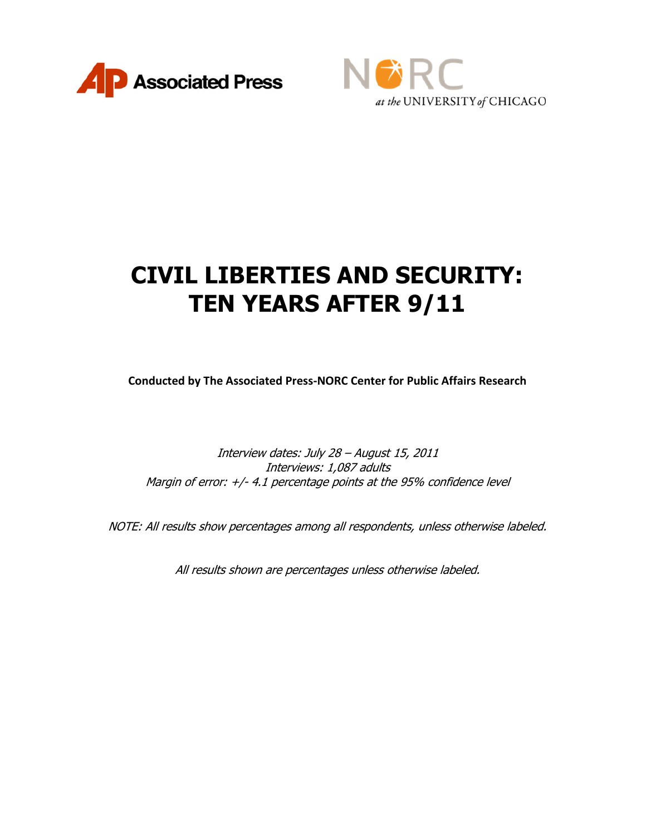



# **CIVIL LIBERTIES AND SECURITY: TEN YEARS AFTER 9/11**

**Conducted by The Associated Press-NORC Center for Public Affairs Research**

Interview dates: July 28 – August 15, 2011 Interviews: 1,087 adults Margin of error: +/- 4.1 percentage points at the 95% confidence level

NOTE: All results show percentages among all respondents, unless otherwise labeled.

All results shown are percentages unless otherwise labeled.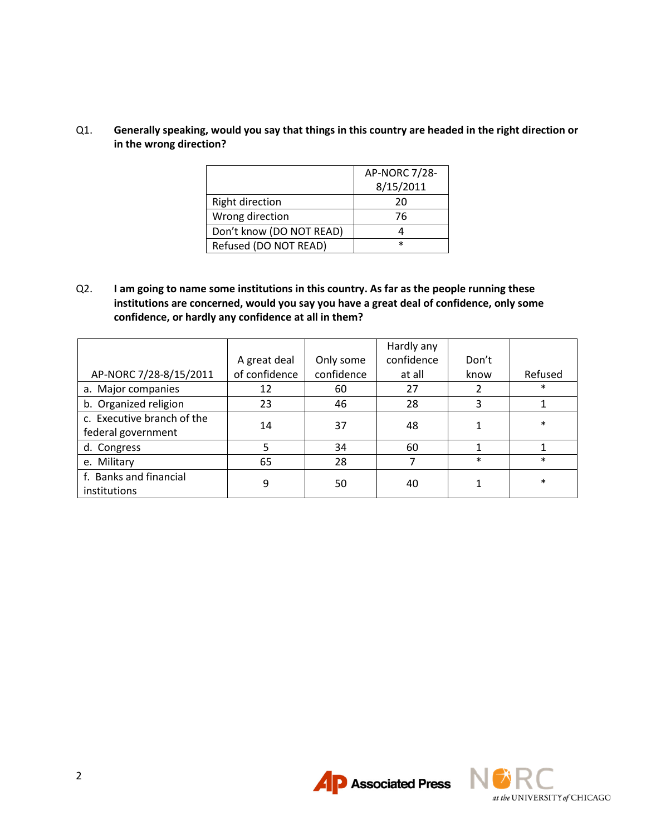## Q1. **Generally speaking, would you say that things in this country are headed in the right direction or in the wrong direction?**

|                          | AP-NORC 7/28- |
|--------------------------|---------------|
|                          | 8/15/2011     |
| <b>Right direction</b>   | 20            |
| Wrong direction          | 76            |
| Don't know (DO NOT READ) |               |
| Refused (DO NOT READ)    | $\ast$        |

Q2. **I am going to name some institutions in this country. As far as the people running these institutions are concerned, would you say you have a great deal of confidence, only some confidence, or hardly any confidence at all in them?**

|                            |               |            | Hardly any |        |         |
|----------------------------|---------------|------------|------------|--------|---------|
|                            | A great deal  | Only some  | confidence | Don't  |         |
| AP-NORC 7/28-8/15/2011     | of confidence | confidence | at all     | know   | Refused |
| a. Major companies         | 12            | 60         | 27         |        | $\ast$  |
| b. Organized religion      | 23            | 46         | 28         | 3      |         |
| c. Executive branch of the | 14            | 37         | 48         |        | $\ast$  |
| federal government         |               |            |            |        |         |
| d. Congress                | 5             | 34         | 60         |        |         |
| e. Military                | 65            | 28         | 7          | $\ast$ | $\ast$  |
| f. Banks and financial     | 9             | 50         | 40         |        | $\ast$  |
| institutions               |               |            |            |        |         |



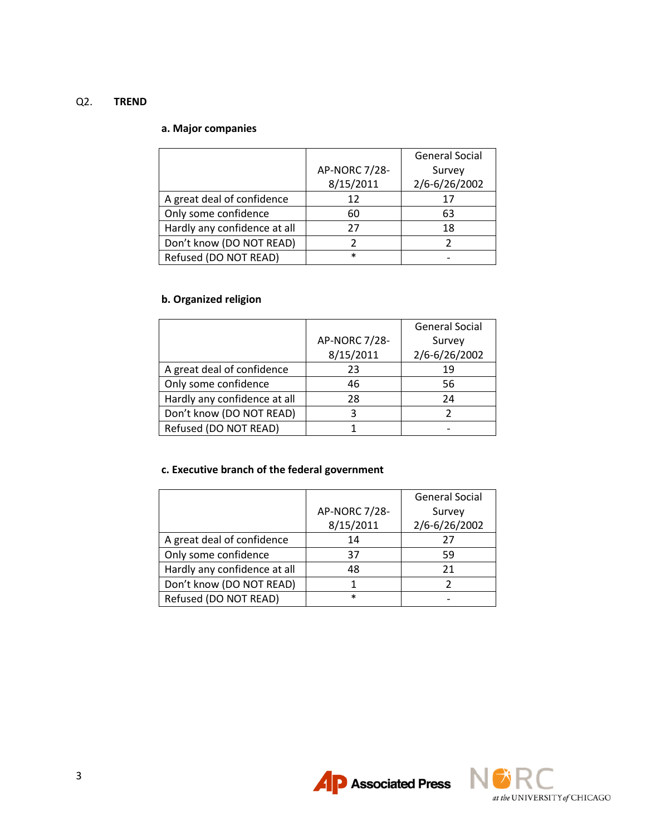## Q2. **TREND**

## **a. Major companies**

|                              |               | <b>General Social</b> |
|------------------------------|---------------|-----------------------|
|                              | AP-NORC 7/28- | Survey                |
|                              | 8/15/2011     | 2/6-6/26/2002         |
| A great deal of confidence   | 12            | 17                    |
| Only some confidence         | 60            | 63                    |
| Hardly any confidence at all | 27            | 18                    |
| Don't know (DO NOT READ)     |               |                       |
| Refused (DO NOT READ)        | $\ast$        |                       |

# **b. Organized religion**

|                              |               | <b>General Social</b> |
|------------------------------|---------------|-----------------------|
|                              | AP-NORC 7/28- | Survey                |
|                              | 8/15/2011     | 2/6-6/26/2002         |
| A great deal of confidence   | 23            | 19                    |
| Only some confidence         | 46            | 56                    |
| Hardly any confidence at all | 28            | 24                    |
| Don't know (DO NOT READ)     |               |                       |
| Refused (DO NOT READ)        |               |                       |

## **c. Executive branch of the federal government**

|                              |               | <b>General Social</b> |
|------------------------------|---------------|-----------------------|
|                              | AP-NORC 7/28- | Survey                |
|                              | 8/15/2011     | 2/6-6/26/2002         |
| A great deal of confidence   | 14            | 27                    |
| Only some confidence         | 37            | 59                    |
| Hardly any confidence at all | 48            | 21                    |
| Don't know (DO NOT READ)     |               |                       |
| Refused (DO NOT READ)        | $\ast$        |                       |



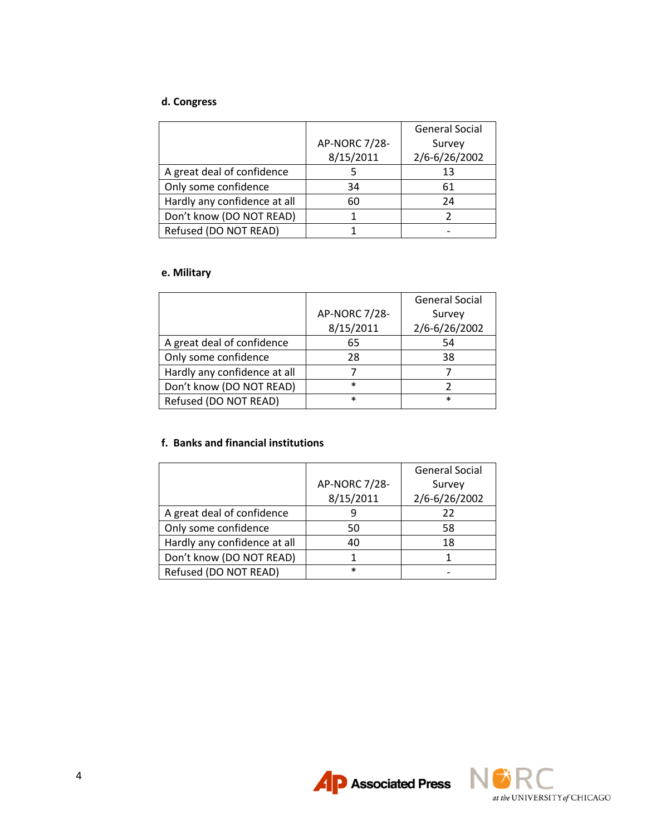# **d. Congress**

|                              |               | <b>General Social</b> |
|------------------------------|---------------|-----------------------|
|                              | AP-NORC 7/28- | Survey                |
|                              | 8/15/2011     | 2/6-6/26/2002         |
| A great deal of confidence   |               | 13                    |
| Only some confidence         | 34            | 61                    |
| Hardly any confidence at all | 60            | 24                    |
| Don't know (DO NOT READ)     |               |                       |
| Refused (DO NOT READ)        |               |                       |

## **e. Military**

|                              |               | <b>General Social</b> |
|------------------------------|---------------|-----------------------|
|                              | AP-NORC 7/28- | Survey                |
|                              | 8/15/2011     | 2/6-6/26/2002         |
| A great deal of confidence   | 65            | 54                    |
| Only some confidence         | 28            | 38                    |
| Hardly any confidence at all |               |                       |
| Don't know (DO NOT READ)     | $\ast$        |                       |
| Refused (DO NOT READ)        | $\ast$        | $\ast$                |

# **f. Banks and financial institutions**

|                              |               | <b>General Social</b> |
|------------------------------|---------------|-----------------------|
|                              | AP-NORC 7/28- | Survey                |
|                              | 8/15/2011     | 2/6-6/26/2002         |
| A great deal of confidence   |               | 22                    |
| Only some confidence         | 50            | 58                    |
| Hardly any confidence at all | 40            | 18                    |
| Don't know (DO NOT READ)     |               |                       |
| Refused (DO NOT READ)        | $\ast$        |                       |



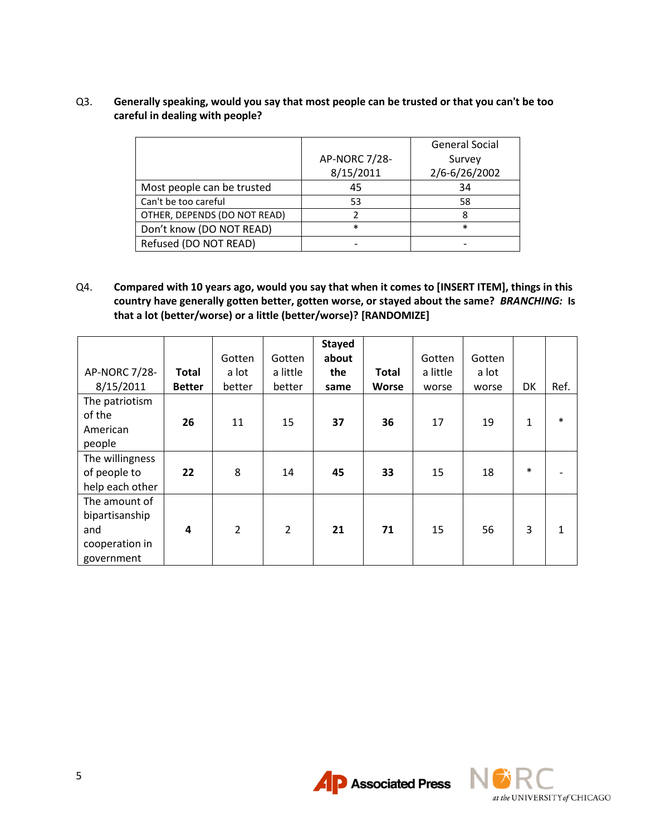## Q3. **Generally speaking, would you say that most people can be trusted or that you can't be too careful in dealing with people?**

|                              |               | <b>General Social</b> |
|------------------------------|---------------|-----------------------|
|                              | AP-NORC 7/28- | Survey                |
|                              | 8/15/2011     | 2/6-6/26/2002         |
| Most people can be trusted   | 45            | 34                    |
| Can't be too careful         | 53            | 58                    |
| OTHER, DEPENDS (DO NOT READ) |               | 8                     |
| Don't know (DO NOT READ)     | $\ast$        | $\ast$                |
| Refused (DO NOT READ)        |               |                       |

Q4. **Compared with 10 years ago, would you say that when it comes to [INSERT ITEM], things in this country have generally gotten better, gotten worse, or stayed about the same?** *BRANCHING:* **Is that a lot (better/worse) or a little (better/worse)? [RANDOMIZE]**

|                 |               |                |                | <b>Stayed</b> |              |          |        |        |        |
|-----------------|---------------|----------------|----------------|---------------|--------------|----------|--------|--------|--------|
|                 |               | Gotten         | Gotten         | about         |              | Gotten   | Gotten |        |        |
| AP-NORC 7/28-   | <b>Total</b>  | a lot          | a little       | the           | <b>Total</b> | a little | a lot  |        |        |
| 8/15/2011       | <b>Better</b> | better         | better         | same          | <b>Worse</b> | worse    | worse  | DK     | Ref.   |
| The patriotism  |               |                |                |               |              |          |        |        |        |
| of the          | 26            | 11             | 15             | 37            | 36           | 17       | 19     | 1      | $\ast$ |
| American        |               |                |                |               |              |          |        |        |        |
| people          |               |                |                |               |              |          |        |        |        |
| The willingness |               |                |                |               |              |          |        |        |        |
| of people to    | 22            | 8              | 14             | 45            | 33           | 15       | 18     | $\ast$ |        |
| help each other |               |                |                |               |              |          |        |        |        |
| The amount of   |               |                |                |               |              |          |        |        |        |
| bipartisanship  |               |                |                |               |              |          |        |        |        |
| and             | 4             | $\overline{2}$ | $\overline{2}$ | 21            | 71           | 15       | 56     | 3      | 1      |
| cooperation in  |               |                |                |               |              |          |        |        |        |
| government      |               |                |                |               |              |          |        |        |        |



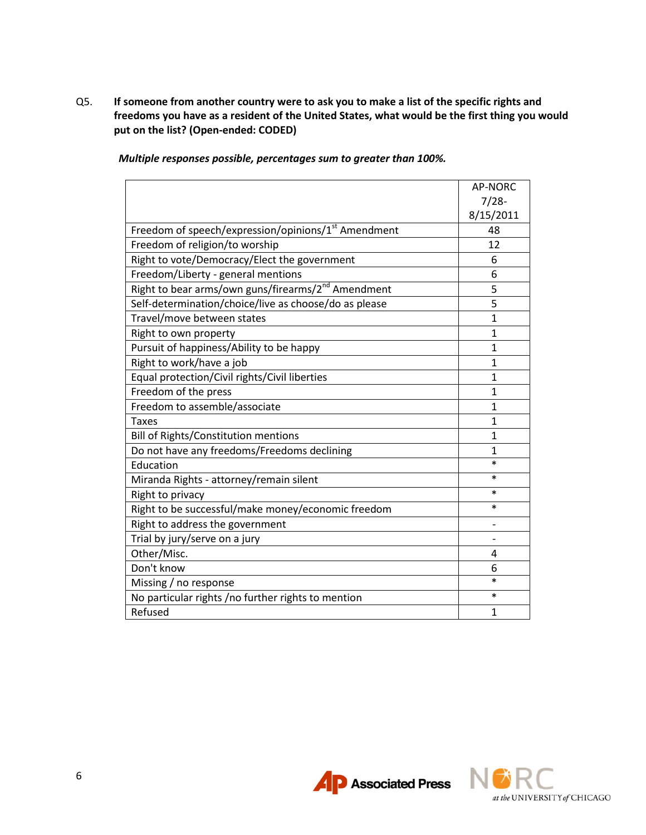Q5. **If someone from another country were to ask you to make a list of the specific rights and freedoms you have as a resident of the United States, what would be the first thing you would put on the list? (Open-ended: CODED)**

| Multiple responses possible, percentages sum to greater than 100%. |  |  |  |  |  |  |
|--------------------------------------------------------------------|--|--|--|--|--|--|
|--------------------------------------------------------------------|--|--|--|--|--|--|

|                                                                 | <b>AP-NORC</b> |
|-----------------------------------------------------------------|----------------|
|                                                                 | $7/28-$        |
|                                                                 | 8/15/2011      |
| Freedom of speech/expression/opinions/1 <sup>st</sup> Amendment | 48             |
| Freedom of religion/to worship                                  | 12             |
| Right to vote/Democracy/Elect the government                    | 6              |
| Freedom/Liberty - general mentions                              | 6              |
| Right to bear arms/own guns/firearms/2 <sup>nd</sup> Amendment  | 5              |
| Self-determination/choice/live as choose/do as please           | 5              |
| Travel/move between states                                      | $\mathbf{1}$   |
| Right to own property                                           | $\mathbf{1}$   |
| Pursuit of happiness/Ability to be happy                        | $\mathbf{1}$   |
| Right to work/have a job                                        | 1              |
| Equal protection/Civil rights/Civil liberties                   | 1              |
| Freedom of the press                                            | 1              |
| Freedom to assemble/associate                                   | $\mathbf{1}$   |
| Taxes                                                           | $\mathbf{1}$   |
| <b>Bill of Rights/Constitution mentions</b>                     | $\mathbf{1}$   |
| Do not have any freedoms/Freedoms declining                     | $\mathbf{1}$   |
| Education                                                       | $\ast$         |
| Miranda Rights - attorney/remain silent                         | $\ast$         |
| Right to privacy                                                | $\ast$         |
| Right to be successful/make money/economic freedom              | $\ast$         |
| Right to address the government                                 | -              |
| Trial by jury/serve on a jury                                   |                |
| Other/Misc.                                                     | 4              |
| Don't know                                                      | 6              |
| Missing / no response                                           | $\ast$         |
| No particular rights /no further rights to mention              | $\ast$         |
| Refused                                                         | $\mathbf{1}$   |

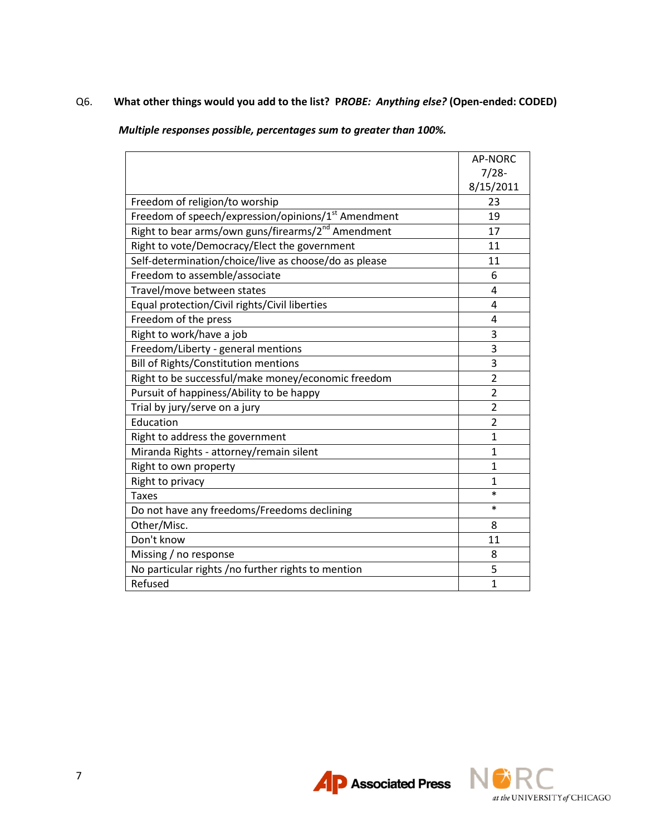# Q6. **What other things would you add to the list? P***ROBE: Anything else?* **(Open-ended: CODED)**

*Multiple responses possible, percentages sum to greater than 100%.*

|                                                                 | <b>AP-NORC</b> |
|-----------------------------------------------------------------|----------------|
|                                                                 | $7/28-$        |
|                                                                 | 8/15/2011      |
| Freedom of religion/to worship                                  | 23             |
| Freedom of speech/expression/opinions/1 <sup>st</sup> Amendment | 19             |
| Right to bear arms/own guns/firearms/2 <sup>nd</sup> Amendment  | 17             |
| Right to vote/Democracy/Elect the government                    | 11             |
| Self-determination/choice/live as choose/do as please           | 11             |
| Freedom to assemble/associate                                   | 6              |
| Travel/move between states                                      | 4              |
| Equal protection/Civil rights/Civil liberties                   | 4              |
| Freedom of the press                                            | 4              |
| Right to work/have a job                                        | 3              |
| Freedom/Liberty - general mentions                              | 3              |
| <b>Bill of Rights/Constitution mentions</b>                     | 3              |
| Right to be successful/make money/economic freedom              | $\overline{2}$ |
| Pursuit of happiness/Ability to be happy                        | $\overline{2}$ |
| Trial by jury/serve on a jury                                   | $\overline{2}$ |
| Education                                                       | $\overline{2}$ |
| Right to address the government                                 | $\mathbf{1}$   |
| Miranda Rights - attorney/remain silent                         | $\mathbf{1}$   |
| Right to own property                                           | $\mathbf{1}$   |
| Right to privacy                                                | $\mathbf{1}$   |
| <b>Taxes</b>                                                    | *              |
| Do not have any freedoms/Freedoms declining                     | $\ast$         |
| Other/Misc.                                                     | 8              |
| Don't know                                                      | 11             |
| Missing / no response                                           | 8              |
| No particular rights /no further rights to mention              | 5              |
| Refused                                                         | $\overline{1}$ |



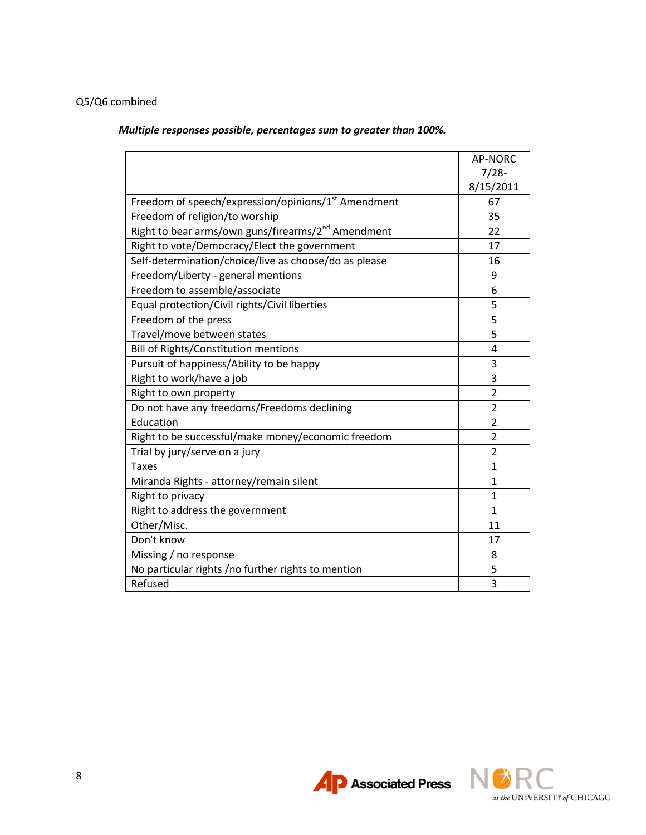# Q5/Q6 combined

*Multiple responses possible, percentages sum to greater than 100%.*

|                                                                 | <b>AP-NORC</b> |
|-----------------------------------------------------------------|----------------|
|                                                                 | $7/28-$        |
|                                                                 | 8/15/2011      |
| Freedom of speech/expression/opinions/1 <sup>st</sup> Amendment | 67             |
| Freedom of religion/to worship                                  | 35             |
| Right to bear arms/own guns/firearms/2 <sup>nd</sup> Amendment  | 22             |
| Right to vote/Democracy/Elect the government                    | 17             |
| Self-determination/choice/live as choose/do as please           | 16             |
| Freedom/Liberty - general mentions                              | 9              |
| Freedom to assemble/associate                                   | 6              |
| Equal protection/Civil rights/Civil liberties                   | 5              |
| Freedom of the press                                            | $\overline{5}$ |
| Travel/move between states                                      | 5              |
| <b>Bill of Rights/Constitution mentions</b>                     | 4              |
| Pursuit of happiness/Ability to be happy                        | 3              |
| Right to work/have a job                                        | 3              |
| Right to own property                                           | $\overline{2}$ |
| Do not have any freedoms/Freedoms declining                     | $\overline{2}$ |
| Education                                                       | $\overline{2}$ |
| Right to be successful/make money/economic freedom              | $\overline{2}$ |
| Trial by jury/serve on a jury                                   | $\overline{2}$ |
| <b>Taxes</b>                                                    | $\mathbf{1}$   |
| Miranda Rights - attorney/remain silent                         | $\mathbf{1}$   |
| Right to privacy                                                | $\mathbf{1}$   |
| Right to address the government                                 | $\mathbf{1}$   |
| Other/Misc.                                                     | 11             |
| Don't know                                                      | 17             |
| Missing / no response                                           | 8              |
| No particular rights /no further rights to mention              | 5              |
| Refused                                                         | $\overline{3}$ |



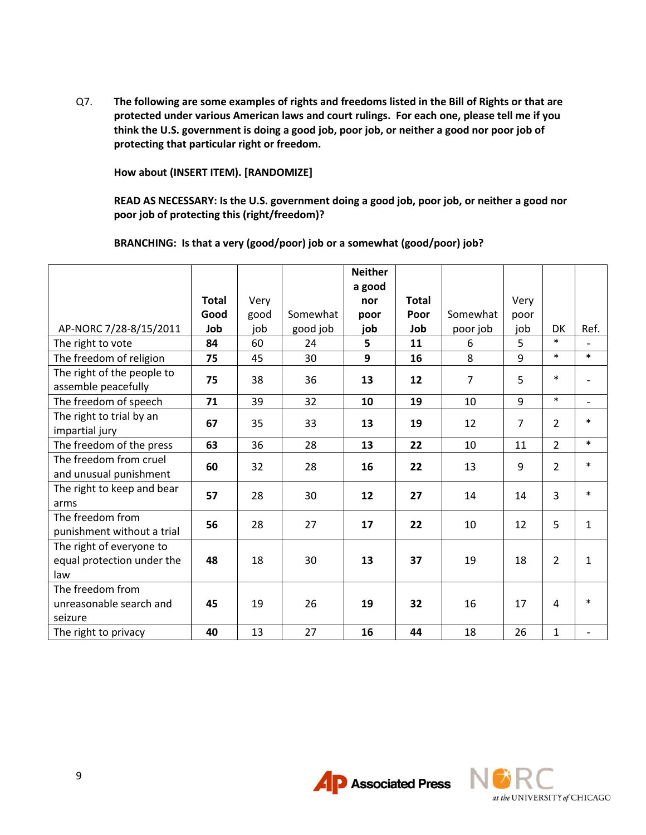Q7. **The following are some examples of rights and freedoms listed in the Bill of Rights or that are protected under various American laws and court rulings. For each one, please tell me if you think the U.S. government is doing a good job, poor job, or neither a good nor poor job of protecting that particular right or freedom.** 

**How about (INSERT ITEM). [RANDOMIZE]**

**READ AS NECESSARY: Is the U.S. government doing a good job, poor job, or neither a good nor poor job of protecting this (right/freedom)?** 

**BRANCHING: Is that a very (good/poor) job or a somewhat (good/poor) job?**

|                                                               |              |      |          | <b>Neither</b> |              |          |      |                     |                          |
|---------------------------------------------------------------|--------------|------|----------|----------------|--------------|----------|------|---------------------|--------------------------|
|                                                               | <b>Total</b> | Very |          | a good<br>nor  | <b>Total</b> |          | Very |                     |                          |
|                                                               | Good         | good | Somewhat |                | Poor         | Somewhat |      |                     |                          |
|                                                               |              |      |          | poor           |              |          | poor |                     |                          |
| AP-NORC 7/28-8/15/2011                                        | Job          | job  | good job | job            | Job          | poor job | job  | <b>DK</b><br>$\ast$ | Ref.                     |
| The right to vote                                             | 84           | 60   | 24       | 5              | 11           | 6        | 5    | $\ast$              | $\ast$                   |
| The freedom of religion                                       | 75           | 45   | 30       | 9              | 16           | 8        | 9    |                     |                          |
| The right of the people to<br>assemble peacefully             | 75           | 38   | 36       | 13             | 12           | 7        | 5    | $\ast$              |                          |
| The freedom of speech                                         | 71           | 39   | 32       | 10             | 19           | 10       | 9    | $\ast$              | $\overline{a}$           |
| The right to trial by an<br>impartial jury                    | 67           | 35   | 33       | 13             | 19           | 12       | 7    | $\overline{2}$      | $\ast$                   |
| The freedom of the press                                      | 63           | 36   | 28       | 13             | 22           | 10       | 11   | $\overline{2}$      | $\ast$                   |
| The freedom from cruel<br>and unusual punishment              | 60           | 32   | 28       | 16             | 22           | 13       | 9    | $\overline{2}$      | $\ast$                   |
| The right to keep and bear<br>arms                            | 57           | 28   | 30       | 12             | 27           | 14       | 14   | $\overline{3}$      | $\ast$                   |
| The freedom from<br>punishment without a trial                | 56           | 28   | 27       | 17             | 22           | 10       | 12   | 5                   | $\mathbf{1}$             |
| The right of everyone to<br>equal protection under the<br>law | 48           | 18   | 30       | 13             | 37           | 19       | 18   | $\overline{2}$      | $\mathbf{1}$             |
| The freedom from<br>unreasonable search and<br>seizure        | 45           | 19   | 26       | 19             | 32           | 16       | 17   | 4                   | $\ast$                   |
| The right to privacy                                          | 40           | 13   | 27       | 16             | 44           | 18       | 26   | $\mathbf{1}$        | $\overline{\phantom{a}}$ |



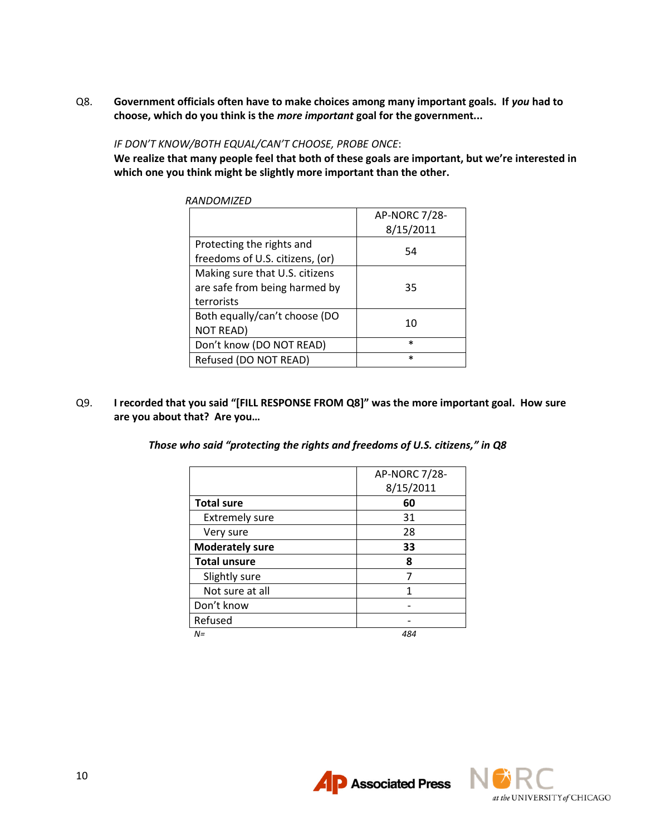Q8. **Government officials often have to make choices among many important goals. If** *you* **had to choose, which do you think is the** *more important* **goal for the government...**

## *IF DON'T KNOW/BOTH EQUAL/CAN'T CHOOSE, PROBE ONCE*:

**We realize that many people feel that both of these goals are important, but we're interested in which one you think might be slightly more important than the other.**

| RANDOMIZED                                                                    |                            |
|-------------------------------------------------------------------------------|----------------------------|
|                                                                               | AP-NORC 7/28-<br>8/15/2011 |
| Protecting the rights and<br>freedoms of U.S. citizens, (or)                  | 54                         |
| Making sure that U.S. citizens<br>are safe from being harmed by<br>terrorists | 35                         |
| Both equally/can't choose (DO<br><b>NOT READ)</b>                             | 10                         |
| Don't know (DO NOT READ)                                                      | $\ast$                     |
| Refused (DO NOT READ)                                                         | $\ast$                     |

- Q9. **I recorded that you said "[FILL RESPONSE FROM Q8]" was the more important goal. How sure are you about that? Are you…**
	- *Those who said "protecting the rights and freedoms of U.S. citizens," in Q8*

|                        | AP-NORC 7/28-<br>8/15/2011 |
|------------------------|----------------------------|
| <b>Total sure</b>      | 60                         |
| <b>Extremely sure</b>  | 31                         |
| Very sure              | 28                         |
| <b>Moderately sure</b> | 33                         |
| <b>Total unsure</b>    | 8                          |
| Slightly sure          |                            |
| Not sure at all        |                            |
| Don't know             |                            |
| Refused                |                            |
| $N =$                  | 484                        |

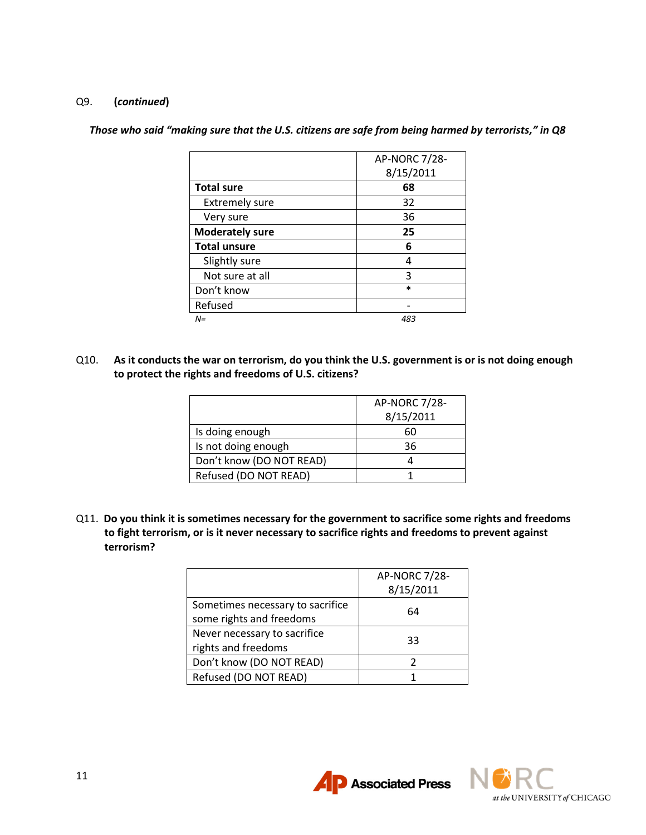#### Q9. **(***continued***)**

|                        | <b>AP-NORC 7/28-</b> |
|------------------------|----------------------|
|                        | 8/15/2011            |
| <b>Total sure</b>      | 68                   |
| <b>Extremely sure</b>  | 32                   |
| Very sure              | 36                   |
| <b>Moderately sure</b> | 25                   |
| <b>Total unsure</b>    | 6                    |
| Slightly sure          | 4                    |
| Not sure at all        | ξ                    |
| Don't know             | $\ast$               |
| Refused                |                      |
| N=                     | 483                  |

*Those who said "making sure that the U.S. citizens are safe from being harmed by terrorists," in Q8*

Q10. **As it conducts the war on terrorism, do you think the U.S. government is or is not doing enough to protect the rights and freedoms of U.S. citizens?**

|                          | AP-NORC 7/28- |
|--------------------------|---------------|
|                          | 8/15/2011     |
| Is doing enough          | 60            |
| Is not doing enough      | 36            |
| Don't know (DO NOT READ) |               |
| Refused (DO NOT READ)    |               |

Q11. **Do you think it is sometimes necessary for the government to sacrifice some rights and freedoms to fight terrorism, or is it never necessary to sacrifice rights and freedoms to prevent against terrorism?**

|                                                              | AP-NORC 7/28-<br>8/15/2011 |
|--------------------------------------------------------------|----------------------------|
| Sometimes necessary to sacrifice<br>some rights and freedoms | 64                         |
| Never necessary to sacrifice<br>rights and freedoms          | 33                         |
| Don't know (DO NOT READ)                                     |                            |
| Refused (DO NOT READ)                                        |                            |

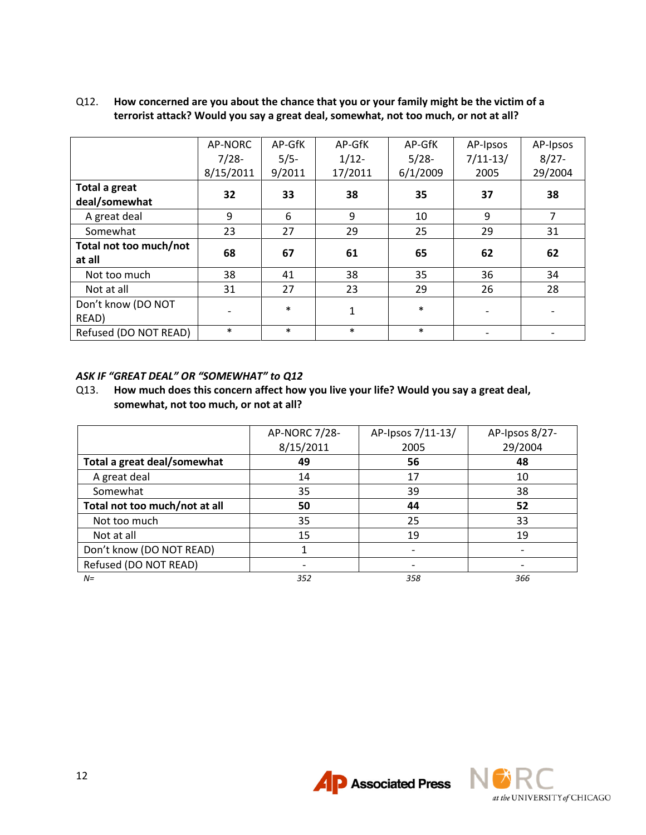|                        | AP-NORC   | AP-GfK | AP-GfK   | AP-GfK   | AP-Ipsos                 | AP-Ipsos       |
|------------------------|-----------|--------|----------|----------|--------------------------|----------------|
|                        | $7/28-$   | $5/5-$ | $1/12 -$ | $5/28-$  | $7/11-13/$               | $8/27 -$       |
|                        | 8/15/2011 | 9/2011 | 17/2011  | 6/1/2009 | 2005                     | 29/2004        |
| <b>Total a great</b>   |           | 33     |          | 35       |                          |                |
| deal/somewhat          | 32        |        | 38       |          | 37                       | 38             |
| A great deal           | 9         | 6      | 9        | 10       | 9                        | $\overline{7}$ |
| Somewhat               | 23        | 27     | 29       | 25       | 29                       | 31             |
| Total not too much/not | 68        | 67     | 61       | 65       | 62                       | 62             |
| at all                 |           |        |          |          |                          |                |
| Not too much           | 38        | 41     | 38       | 35       | 36                       | 34             |
| Not at all             | 31        | 27     | 23       | 29       | 26                       | 28             |
| Don't know (DO NOT     |           | $\ast$ |          | $\ast$   |                          |                |
| READ)                  |           |        | 1        |          | $\overline{\phantom{a}}$ |                |
| Refused (DO NOT READ)  | $\ast$    | $\ast$ | $\ast$   | $\ast$   |                          |                |

## Q12. **How concerned are you about the chance that you or your family might be the victim of a terrorist attack? Would you say a great deal, somewhat, not too much, or not at all?**

## *ASK IF "GREAT DEAL" OR "SOMEWHAT" to Q12*

Q13. **How much does this concern affect how you live your life? Would you say a great deal, somewhat, not too much, or not at all?**

|                               | AP-NORC 7/28- | AP-Ipsos 7/11-13/ | AP-Ipsos 8/27- |
|-------------------------------|---------------|-------------------|----------------|
|                               | 8/15/2011     | 2005              | 29/2004        |
| Total a great deal/somewhat   | 49            | 56                | 48             |
| A great deal                  | 14            | 17                | 10             |
| Somewhat                      | 35            | 39                | 38             |
| Total not too much/not at all | 50            | 44                | 52             |
| Not too much                  | 35            | 25                | 33             |
| Not at all                    | 15            | 19                | 19             |
| Don't know (DO NOT READ)      |               |                   |                |
| Refused (DO NOT READ)         |               |                   |                |
| $N =$                         | 352           | 358               | 366            |



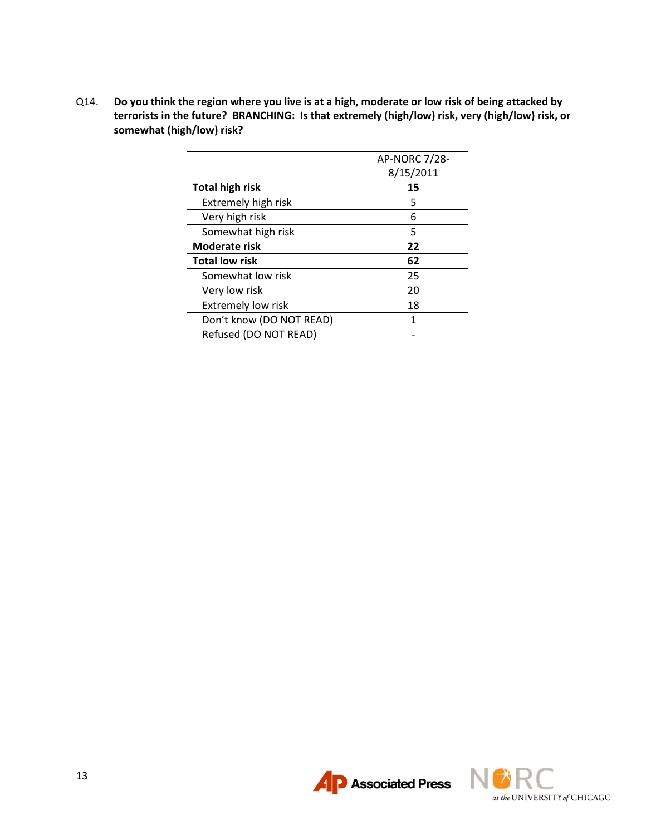Q14. **Do you think the region where you live is at a high, moderate or low risk of being attacked by terrorists in the future? BRANCHING: Is that extremely (high/low) risk, very (high/low) risk, or somewhat (high/low) risk?**

|                           | AP-NORC 7/28- |
|---------------------------|---------------|
|                           | 8/15/2011     |
| <b>Total high risk</b>    | 15            |
| Extremely high risk       | 5             |
| Very high risk            | 6             |
| Somewhat high risk        | 5             |
| Moderate risk             | 22            |
| <b>Total low risk</b>     | 62            |
| Somewhat low risk         | 25            |
| Very low risk             | 20            |
| <b>Extremely low risk</b> | 18            |
| Don't know (DO NOT READ)  | 1             |
| Refused (DO NOT READ)     |               |



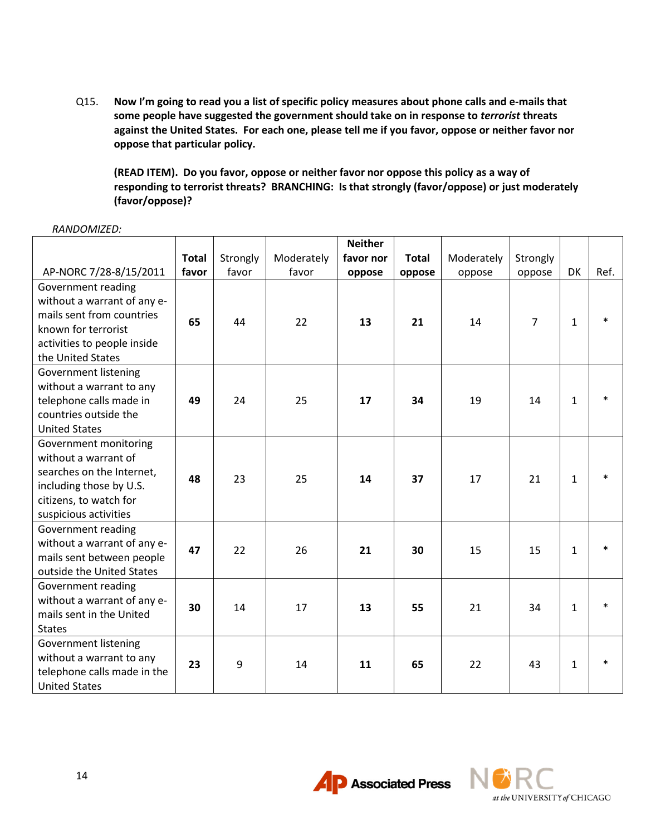Q15. **Now I'm going to read you a list of specific policy measures about phone calls and e-mails that some people have suggested the government should take on in response to** *terrorist* **threats against the United States. For each one, please tell me if you favor, oppose or neither favor nor oppose that particular policy.**

**(READ ITEM). Do you favor, oppose or neither favor nor oppose this policy as a way of responding to terrorist threats? BRANCHING: Is that strongly (favor/oppose) or just moderately (favor/oppose)?**

|                             |              |          |            | <b>Neither</b> |              |            |                |              |        |
|-----------------------------|--------------|----------|------------|----------------|--------------|------------|----------------|--------------|--------|
|                             | <b>Total</b> | Strongly | Moderately | favor nor      | <b>Total</b> | Moderately | Strongly       |              |        |
| AP-NORC 7/28-8/15/2011      | favor        | favor    | favor      | oppose         | oppose       | oppose     | oppose         | DK           | Ref.   |
| Government reading          |              |          |            |                |              |            |                |              |        |
| without a warrant of any e- |              |          |            |                |              |            |                |              |        |
| mails sent from countries   | 65           | 44       | 22         | 13             | 21           | 14         | $\overline{7}$ | $\mathbf{1}$ | $\ast$ |
| known for terrorist         |              |          |            |                |              |            |                |              |        |
| activities to people inside |              |          |            |                |              |            |                |              |        |
| the United States           |              |          |            |                |              |            |                |              |        |
| Government listening        |              |          |            |                |              |            |                |              |        |
| without a warrant to any    |              |          |            |                |              |            |                |              |        |
| telephone calls made in     | 49           | 24       | 25         | 17             | 34           | 19         | 14             | $\mathbf{1}$ | $\ast$ |
| countries outside the       |              |          |            |                |              |            |                |              |        |
| <b>United States</b>        |              |          |            |                |              |            |                |              |        |
| Government monitoring       |              |          |            |                |              |            |                |              |        |
| without a warrant of        |              |          |            |                |              |            |                |              |        |
| searches on the Internet,   | 48           | 23       | 25         | 14             | 37           | 17         | 21             | $\mathbf{1}$ | $\ast$ |
| including those by U.S.     |              |          |            |                |              |            |                |              |        |
| citizens, to watch for      |              |          |            |                |              |            |                |              |        |
| suspicious activities       |              |          |            |                |              |            |                |              |        |
| Government reading          |              |          |            |                |              |            |                |              |        |
| without a warrant of any e- | 47           | 22       | 26         | 21             | 30           | 15         | 15             | $\mathbf{1}$ | $\ast$ |
| mails sent between people   |              |          |            |                |              |            |                |              |        |
| outside the United States   |              |          |            |                |              |            |                |              |        |
| Government reading          |              |          |            |                |              |            |                |              |        |
| without a warrant of any e- | 30           | 14       | 17         | 13             | 55           | 21         | 34             | $\mathbf{1}$ | $\ast$ |
| mails sent in the United    |              |          |            |                |              |            |                |              |        |
| <b>States</b>               |              |          |            |                |              |            |                |              |        |
| <b>Government listening</b> |              |          |            |                |              |            |                |              |        |
| without a warrant to any    | 23           | 9        | 14         | 11             | 65           | 22         | 43             | $\mathbf{1}$ | $\ast$ |
| telephone calls made in the |              |          |            |                |              |            |                |              |        |
| <b>United States</b>        |              |          |            |                |              |            |                |              |        |

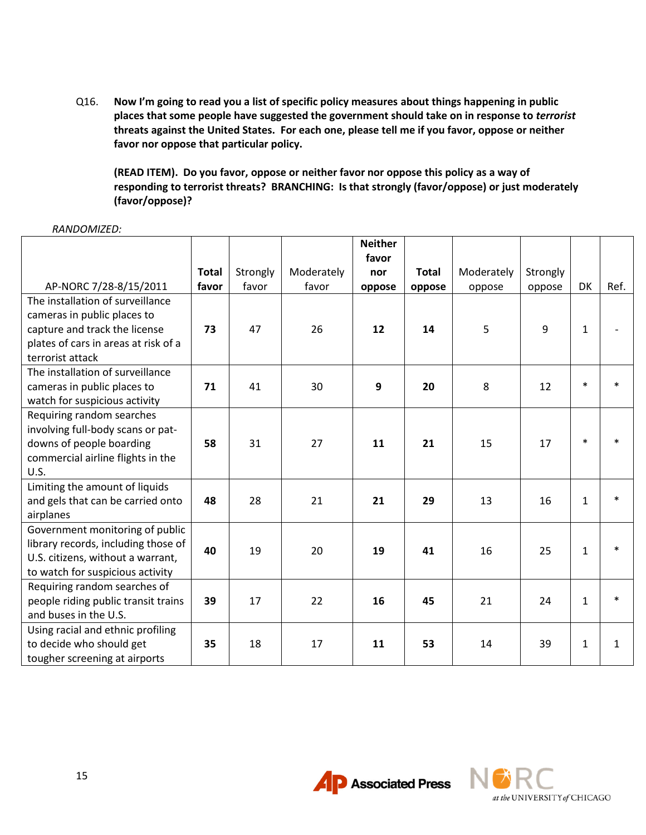Q16. **Now I'm going to read you a list of specific policy measures about things happening in public places that some people have suggested the government should take on in response to** *terrorist* **threats against the United States. For each one, please tell me if you favor, oppose or neither favor nor oppose that particular policy.**

**(READ ITEM). Do you favor, oppose or neither favor nor oppose this policy as a way of responding to terrorist threats? BRANCHING: Is that strongly (favor/oppose) or just moderately (favor/oppose)?**

|                                      |              |          |            | <b>Neither</b> |              |            |          |              |              |
|--------------------------------------|--------------|----------|------------|----------------|--------------|------------|----------|--------------|--------------|
|                                      |              |          |            | favor          |              |            |          |              |              |
|                                      | <b>Total</b> | Strongly | Moderately | nor            | <b>Total</b> | Moderately | Strongly |              |              |
| AP-NORC 7/28-8/15/2011               | favor        | favor    | favor      | oppose         | oppose       | oppose     | oppose   | DK           | Ref.         |
| The installation of surveillance     |              |          |            |                |              |            |          |              |              |
| cameras in public places to          |              |          |            |                |              |            |          |              |              |
| capture and track the license        | 73           | 47       | 26         | 12             | 14           | 5          | 9        | $\mathbf{1}$ |              |
| plates of cars in areas at risk of a |              |          |            |                |              |            |          |              |              |
| terrorist attack                     |              |          |            |                |              |            |          |              |              |
| The installation of surveillance     |              |          |            |                |              |            |          |              |              |
| cameras in public places to          | 71           | 41       | 30         | 9              | 20           | 8          | 12       | $\ast$       |              |
| watch for suspicious activity        |              |          |            |                |              |            |          |              |              |
| Requiring random searches            |              |          |            |                |              |            |          |              |              |
| involving full-body scans or pat-    |              |          |            |                |              |            |          |              |              |
| downs of people boarding             | 58           | 31       | 27         | 11             | 21           | 15         | 17       | $\ast$       |              |
| commercial airline flights in the    |              |          |            |                |              |            |          |              |              |
| U.S.                                 |              |          |            |                |              |            |          |              |              |
| Limiting the amount of liquids       |              |          |            |                |              |            |          |              |              |
| and gels that can be carried onto    | 48           | 28       | 21         | 21             | 29           | 13         | 16       | $\mathbf{1}$ |              |
| airplanes                            |              |          |            |                |              |            |          |              |              |
| Government monitoring of public      |              |          |            |                |              |            |          |              |              |
| library records, including those of  | 40           | 19       | 20         | 19             | 41           | 16         | 25       | $\mathbf{1}$ | $\ast$       |
| U.S. citizens, without a warrant,    |              |          |            |                |              |            |          |              |              |
| to watch for suspicious activity     |              |          |            |                |              |            |          |              |              |
| Requiring random searches of         |              |          |            |                |              |            |          |              |              |
| people riding public transit trains  | 39           | 17       | 22         | 16             | 45           | 21         | 24       | $\mathbf{1}$ | $\ast$       |
| and buses in the U.S.                |              |          |            |                |              |            |          |              |              |
| Using racial and ethnic profiling    |              |          |            |                |              |            |          |              |              |
| to decide who should get             | 35           | 18       | 17         | 11             | 53           | 14         | 39       | $\mathbf{1}$ | $\mathbf{1}$ |
| tougher screening at airports        |              |          |            |                |              |            |          |              |              |

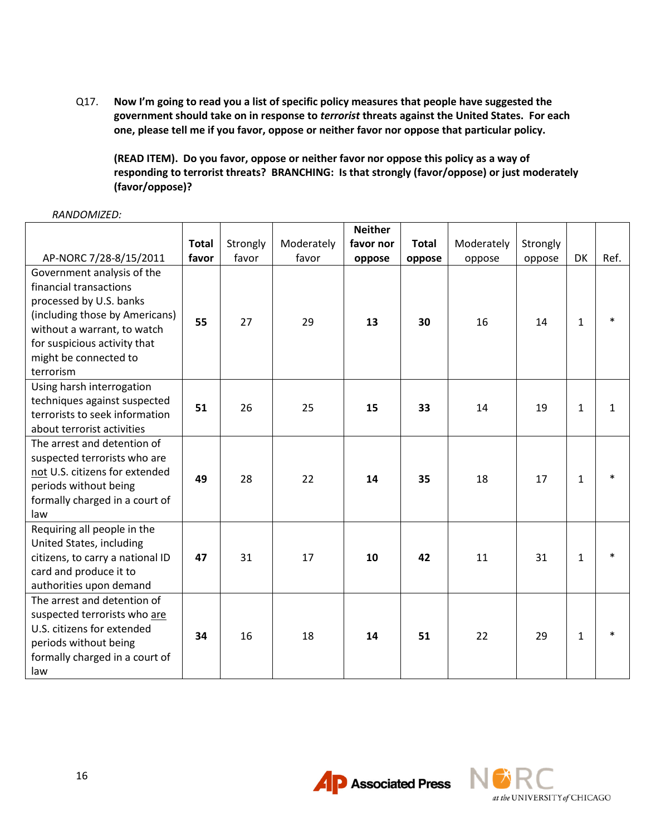Q17. **Now I'm going to read you a list of specific policy measures that people have suggested the government should take on in response to** *terrorist* **threats against the United States. For each one, please tell me if you favor, oppose or neither favor nor oppose that particular policy.**

**(READ ITEM). Do you favor, oppose or neither favor nor oppose this policy as a way of responding to terrorist threats? BRANCHING: Is that strongly (favor/oppose) or just moderately (favor/oppose)?**

|                                                                                                                                                                                                                        |              |          |            | <b>Neither</b> |              |            |          |              |      |
|------------------------------------------------------------------------------------------------------------------------------------------------------------------------------------------------------------------------|--------------|----------|------------|----------------|--------------|------------|----------|--------------|------|
|                                                                                                                                                                                                                        | <b>Total</b> | Strongly | Moderately | favor nor      | <b>Total</b> | Moderately | Strongly |              |      |
| AP-NORC 7/28-8/15/2011                                                                                                                                                                                                 | favor        | favor    | favor      | oppose         | oppose       | oppose     | oppose   | <b>DK</b>    | Ref. |
| Government analysis of the<br>financial transactions<br>processed by U.S. banks<br>(including those by Americans)<br>without a warrant, to watch<br>for suspicious activity that<br>might be connected to<br>terrorism | 55           | 27       | 29         | 13             | 30           | 16         | 14       | $\mathbf{1}$ |      |
| Using harsh interrogation<br>techniques against suspected<br>terrorists to seek information<br>about terrorist activities                                                                                              | 51           | 26       | 25         | 15             | 33           | 14         | 19       | $\mathbf{1}$ | 1    |
| The arrest and detention of<br>suspected terrorists who are<br>not U.S. citizens for extended<br>periods without being<br>formally charged in a court of<br>law                                                        | 49           | 28       | 22         | 14             | 35           | 18         | 17       | 1            |      |
| Requiring all people in the<br>United States, including<br>citizens, to carry a national ID<br>card and produce it to<br>authorities upon demand                                                                       | 47           | 31       | 17         | 10             | 42           | 11         | 31       | $\mathbf{1}$ |      |
| The arrest and detention of<br>suspected terrorists who are<br>U.S. citizens for extended<br>periods without being<br>formally charged in a court of<br>law                                                            | 34           | 16       | 18         | 14             | 51           | 22         | 29       | 1            |      |



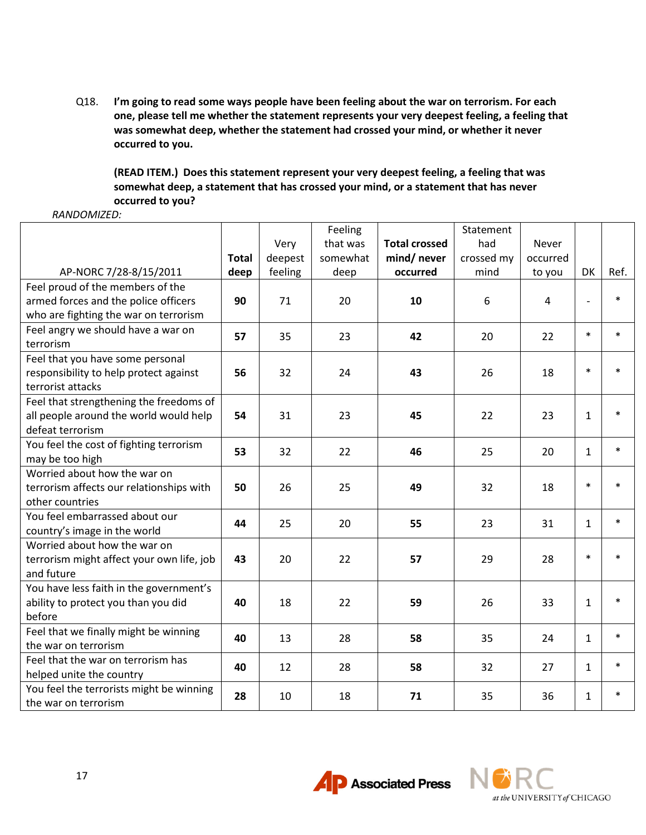Q18. **I'm going to read some ways people have been feeling about the war on terrorism. For each one, please tell me whether the statement represents your very deepest feeling, a feeling that was somewhat deep, whether the statement had crossed your mind, or whether it never occurred to you.**

**(READ ITEM.) Does this statement represent your very deepest feeling, a feeling that was somewhat deep, a statement that has crossed your mind, or a statement that has never occurred to you?**

|                                           |              |         | Feeling  |                      | Statement  |          |              |        |
|-------------------------------------------|--------------|---------|----------|----------------------|------------|----------|--------------|--------|
|                                           |              | Very    | that was | <b>Total crossed</b> | had        | Never    |              |        |
|                                           | <b>Total</b> | deepest | somewhat | mind/ never          | crossed my | occurred |              |        |
| AP-NORC 7/28-8/15/2011                    | deep         | feeling | deep     | occurred             | mind       | to you   | DK           | Ref.   |
| Feel proud of the members of the          |              |         |          |                      |            |          |              |        |
| armed forces and the police officers      | 90           | 71      | 20       | 10                   | 6          | 4        |              | $\ast$ |
| who are fighting the war on terrorism     |              |         |          |                      |            |          |              |        |
| Feel angry we should have a war on        | 57           | 35      | 23       | 42                   | 20         | 22       | $\ast$       | $\ast$ |
| terrorism                                 |              |         |          |                      |            |          |              |        |
| Feel that you have some personal          |              |         |          |                      |            |          |              |        |
| responsibility to help protect against    | 56           | 32      | 24       | 43                   | 26         | 18       | $\ast$       | $\ast$ |
| terrorist attacks                         |              |         |          |                      |            |          |              |        |
| Feel that strengthening the freedoms of   |              |         |          |                      |            |          |              |        |
| all people around the world would help    | 54           | 31      | 23       | 45                   | 22         | 23       | $\mathbf{1}$ | $\ast$ |
| defeat terrorism                          |              |         |          |                      |            |          |              |        |
| You feel the cost of fighting terrorism   | 53           | 32      | 22       | 46                   | 25         | 20       | $\mathbf{1}$ | $\ast$ |
| may be too high                           |              |         |          |                      |            |          |              |        |
| Worried about how the war on              |              |         |          |                      |            |          |              |        |
| terrorism affects our relationships with  | 50           | 26      | 25       | 49                   | 32         | 18       | $\ast$       | $\ast$ |
| other countries                           |              |         |          |                      |            |          |              |        |
| You feel embarrassed about our            | 44           | 25      | 20       | 55                   | 23         | 31       | $\mathbf{1}$ | $\ast$ |
| country's image in the world              |              |         |          |                      |            |          |              |        |
| Worried about how the war on              |              |         |          |                      |            |          |              |        |
| terrorism might affect your own life, job | 43           | 20      | 22       | 57                   | 29         | 28       | $\ast$       | $\ast$ |
| and future                                |              |         |          |                      |            |          |              |        |
| You have less faith in the government's   |              |         |          |                      |            |          |              |        |
| ability to protect you than you did       | 40           | 18      | 22       | 59                   | 26         | 33       | $\mathbf{1}$ | $\ast$ |
| before                                    |              |         |          |                      |            |          |              |        |
| Feel that we finally might be winning     | 40           | 13      | 28       | 58                   | 35         | 24       | $\mathbf{1}$ | $\ast$ |
| the war on terrorism                      |              |         |          |                      |            |          |              |        |
| Feel that the war on terrorism has        | 40           | 12      | 28       | 58                   | 32         | 27       | 1            | $\ast$ |
| helped unite the country                  |              |         |          |                      |            |          |              |        |
| You feel the terrorists might be winning  | 28           | 10      | 18       | 71                   | 35         | 36       | $\mathbf{1}$ | $\ast$ |
| the war on terrorism                      |              |         |          |                      |            |          |              |        |



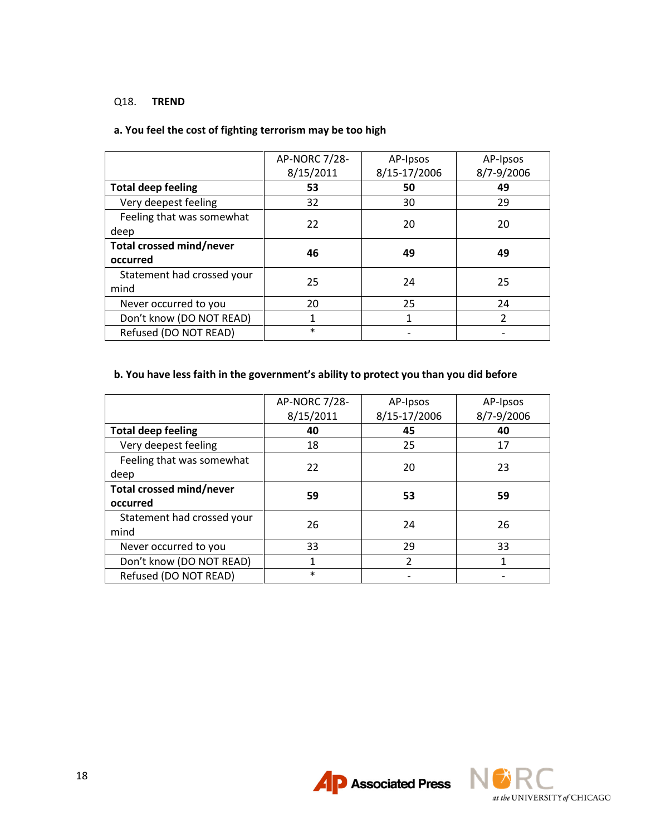#### Q18. **TREND**

# **a. You feel the cost of fighting terrorism may be too high**

|                            | AP-NORC 7/28-<br>8/15/2011 | AP-Ipsos<br>8/15-17/2006 | AP-Ipsos<br>8/7-9/2006 |
|----------------------------|----------------------------|--------------------------|------------------------|
| <b>Total deep feeling</b>  | 53                         | 50                       | 49                     |
| Very deepest feeling       | 32                         | 30                       | 29                     |
| Feeling that was somewhat  | 22                         | 20                       | 20                     |
| deep                       |                            |                          |                        |
| Total crossed mind/never   | 46                         | 49                       | 49                     |
| occurred                   |                            |                          |                        |
| Statement had crossed your | 25                         | 24                       | 25                     |
| mind                       |                            |                          |                        |
| Never occurred to you      | 20                         | 25                       | 24                     |
| Don't know (DO NOT READ)   | 1                          | 1                        | 2                      |
| Refused (DO NOT READ)      | $\ast$                     |                          |                        |

# **b. You have less faith in the government's ability to protect you than you did before**

|                            | AP-NORC 7/28- | AP-Ipsos     | AP-Ipsos   |  |
|----------------------------|---------------|--------------|------------|--|
|                            | 8/15/2011     | 8/15-17/2006 | 8/7-9/2006 |  |
| <b>Total deep feeling</b>  | 40            | 45           | 40         |  |
| Very deepest feeling       | 18            | 25           | 17         |  |
| Feeling that was somewhat  | 22            | 20           | 23         |  |
| deep                       |               |              |            |  |
| Total crossed mind/never   | 59            | 53           | 59         |  |
| occurred                   |               |              |            |  |
| Statement had crossed your | 26            | 24           | 26         |  |
| mind                       |               |              |            |  |
| Never occurred to you      | 33            | 29           | 33         |  |
| Don't know (DO NOT READ)   |               | 2            |            |  |
| Refused (DO NOT READ)      | $\ast$        |              |            |  |



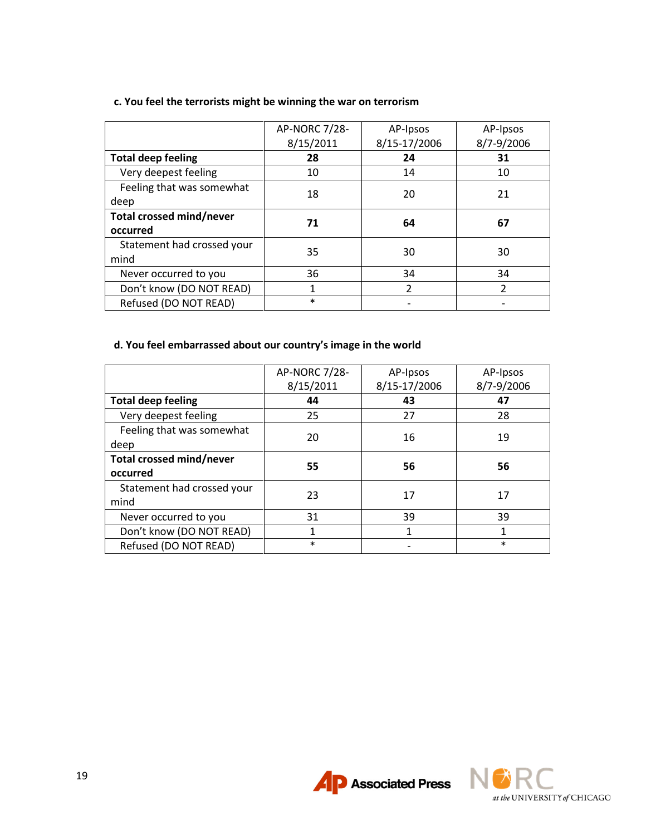|                            | AP-NORC 7/28- | AP-Ipsos       | AP-Ipsos       |
|----------------------------|---------------|----------------|----------------|
|                            | 8/15/2011     | 8/15-17/2006   | 8/7-9/2006     |
| <b>Total deep feeling</b>  | 28            | 24             | 31             |
| Very deepest feeling       | 10            | 14             | 10             |
| Feeling that was somewhat  | 18            | 20             | 21             |
| deep                       |               |                |                |
| Total crossed mind/never   | 71            | 64             | 67             |
| occurred                   |               |                |                |
| Statement had crossed your | 35            | 30             | 30             |
| mind                       |               |                |                |
| Never occurred to you      | 36            | 34             | 34             |
| Don't know (DO NOT READ)   | 1             | $\overline{2}$ | $\overline{2}$ |
| Refused (DO NOT READ)      | $\ast$        |                |                |

# **c. You feel the terrorists might be winning the war on terrorism**

# **d. You feel embarrassed about our country's image in the world**

|                            | AP-NORC 7/28-<br>8/15/2011 | AP-Ipsos<br>8/15-17/2006 | AP-Ipsos<br>8/7-9/2006 |  |
|----------------------------|----------------------------|--------------------------|------------------------|--|
| <b>Total deep feeling</b>  | 44                         | 43                       | 47                     |  |
| Very deepest feeling       | 25                         | 27                       | 28                     |  |
| Feeling that was somewhat  | 20                         | 16                       | 19                     |  |
| deep                       |                            |                          |                        |  |
| Total crossed mind/never   | 55                         | 56                       | 56                     |  |
| occurred                   |                            |                          |                        |  |
| Statement had crossed your | 23                         | 17                       | 17                     |  |
| mind                       |                            |                          |                        |  |
| Never occurred to you      | 31                         | 39                       | 39                     |  |
| Don't know (DO NOT READ)   | 1                          | 1                        | 1                      |  |
| Refused (DO NOT READ)      | $\ast$                     |                          | $\ast$                 |  |



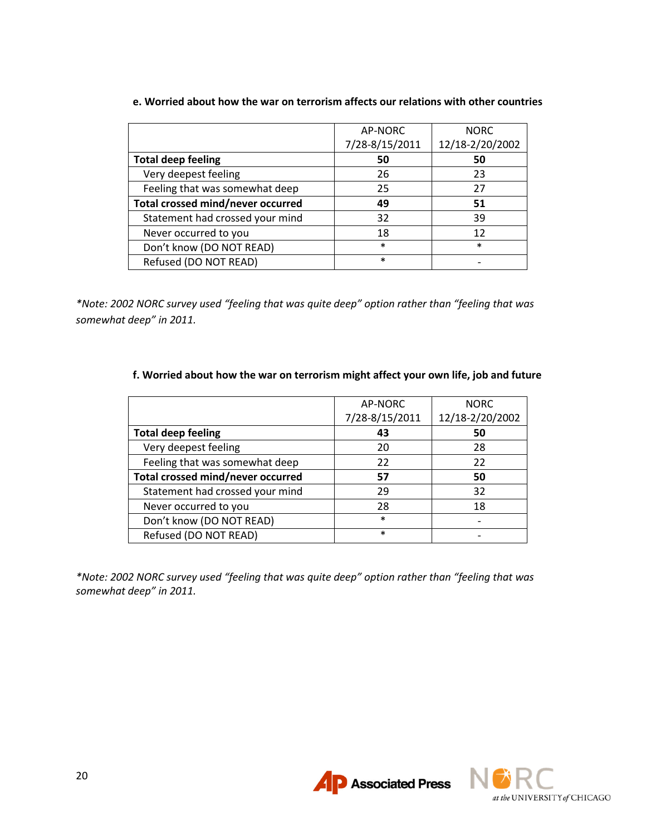|                                   | AP-NORC        | <b>NORC</b>     |
|-----------------------------------|----------------|-----------------|
|                                   | 7/28-8/15/2011 | 12/18-2/20/2002 |
| <b>Total deep feeling</b>         | 50             | 50              |
| Very deepest feeling              | 26             | 23              |
| Feeling that was somewhat deep    | 25             | 27              |
| Total crossed mind/never occurred | 49             | 51              |
| Statement had crossed your mind   | 32             | 39              |
| Never occurred to you             | 18             | 12              |
| Don't know (DO NOT READ)          | $\ast$         | $\ast$          |
| Refused (DO NOT READ)             | $\ast$         |                 |

## **e. Worried about how the war on terrorism affects our relations with other countries**

*\*Note: 2002 NORC survey used "feeling that was quite deep" option rather than "feeling that was somewhat deep" in 2011.*

## **f. Worried about how the war on terrorism might affect your own life, job and future**

|                                   | AP-NORC        | <b>NORC</b>     |
|-----------------------------------|----------------|-----------------|
|                                   | 7/28-8/15/2011 | 12/18-2/20/2002 |
| <b>Total deep feeling</b>         | 43             | 50              |
| Very deepest feeling              | 20             | 28              |
| Feeling that was somewhat deep    | 22             | 22              |
| Total crossed mind/never occurred | 57             | 50              |
| Statement had crossed your mind   | 29             | 32              |
| Never occurred to you             | 28             | 18              |
| Don't know (DO NOT READ)          | $\ast$         |                 |
| Refused (DO NOT READ)             | $\ast$         |                 |

*\*Note: 2002 NORC survey used "feeling that was quite deep" option rather than "feeling that was somewhat deep" in 2011.*



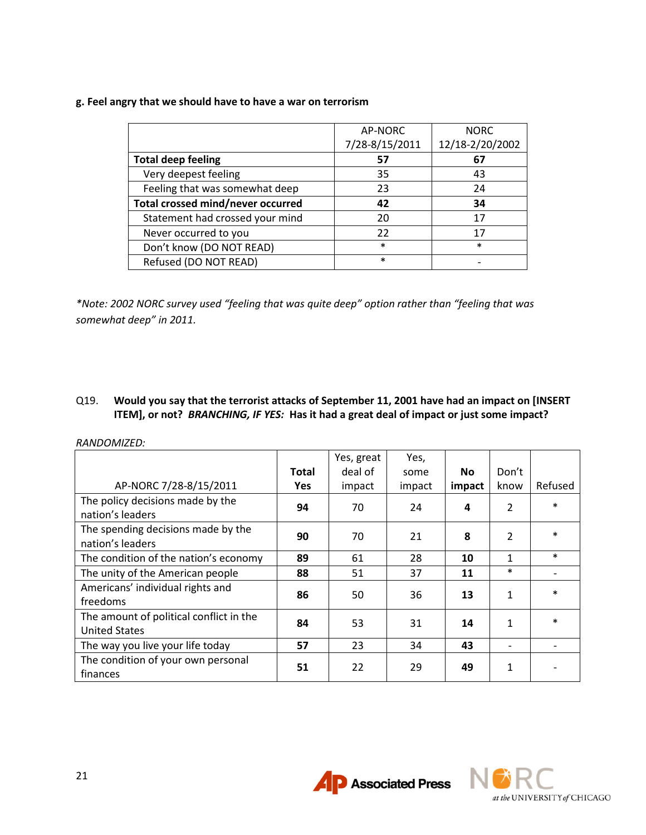## **g. Feel angry that we should have to have a war on terrorism**

|                                   | AP-NORC        | <b>NORC</b>     |
|-----------------------------------|----------------|-----------------|
|                                   | 7/28-8/15/2011 | 12/18-2/20/2002 |
| <b>Total deep feeling</b>         | 57             | 67              |
| Very deepest feeling              | 35             | 43              |
| Feeling that was somewhat deep    | 23             | 24              |
| Total crossed mind/never occurred | 42             | 34              |
| Statement had crossed your mind   | 20             | 17              |
| Never occurred to you             | 22             | 17              |
| Don't know (DO NOT READ)          | $\ast$         | $\ast$          |
| Refused (DO NOT READ)             | $\ast$         |                 |

*\*Note: 2002 NORC survey used "feeling that was quite deep" option rather than "feeling that was somewhat deep" in 2011.*

## Q19. **Would you say that the terrorist attacks of September 11, 2001 have had an impact on [INSERT ITEM], or not?** *BRANCHING, IF YES:* **Has it had a great deal of impact or just some impact?**

|                                                                 |              | Yes, great | Yes,   |        |                |         |
|-----------------------------------------------------------------|--------------|------------|--------|--------|----------------|---------|
|                                                                 | <b>Total</b> | deal of    | some   | No.    | Don't          |         |
| AP-NORC 7/28-8/15/2011                                          | <b>Yes</b>   | impact     | impact | impact | know           | Refused |
| The policy decisions made by the<br>nation's leaders            | 94           | 70         | 24     | 4      | 2              | $\ast$  |
| The spending decisions made by the<br>nation's leaders          | 90           | 70         | 21     | 8      | $\overline{2}$ | $\ast$  |
| The condition of the nation's economy                           | 89           | 61         | 28     | 10     | 1              | $\ast$  |
| The unity of the American people                                | 88           | 51         | 37     | 11     | $\ast$         |         |
| Americans' individual rights and<br>freedoms                    | 86           | 50         | 36     | 13     | 1              | $\ast$  |
| The amount of political conflict in the<br><b>United States</b> | 84           | 53         | 31     | 14     | $\mathbf{1}$   | $\ast$  |
| The way you live your life today                                | 57           | 23         | 34     | 43     |                |         |
| The condition of your own personal<br>finances                  | 51           | 22         | 29     | 49     | 1              |         |

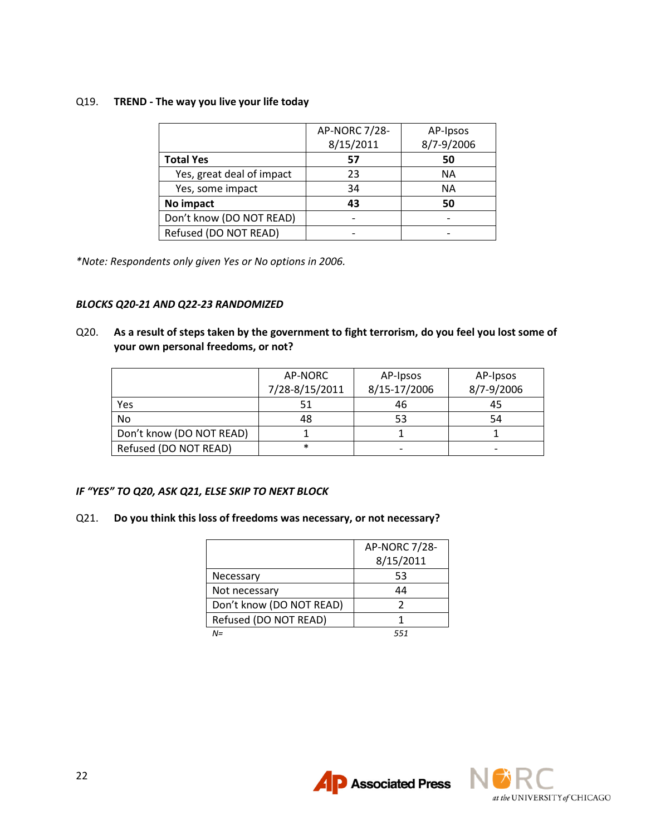## Q19. **TREND - The way you live your life today**

|                           | AP-NORC 7/28-<br>8/15/2011 | AP-Ipsos<br>8/7-9/2006 |
|---------------------------|----------------------------|------------------------|
| <b>Total Yes</b>          | 57                         | 50                     |
| Yes, great deal of impact | 23                         | <b>NA</b>              |
| Yes, some impact          | 34                         | <b>NA</b>              |
| No impact                 | 43                         | 50                     |
| Don't know (DO NOT READ)  |                            |                        |
| Refused (DO NOT READ)     |                            |                        |

*\*Note: Respondents only given Yes or No options in 2006.*

#### *BLOCKS Q20-21 AND Q22-23 RANDOMIZED*

Q20. **As a result of steps taken by the government to fight terrorism, do you feel you lost some of your own personal freedoms, or not?**

|                          | AP-NORC<br>7/28-8/15/2011 | AP-Ipsos<br>8/15-17/2006 | AP-Ipsos<br>8/7-9/2006 |
|--------------------------|---------------------------|--------------------------|------------------------|
| Yes                      | 51                        | 46                       | 45                     |
| No.                      | 48                        | 53                       | 54                     |
| Don't know (DO NOT READ) |                           |                          |                        |
| Refused (DO NOT READ)    | $\ast$                    |                          |                        |

#### *IF "YES" TO Q20, ASK Q21, ELSE SKIP TO NEXT BLOCK*

#### Q21. **Do you think this loss of freedoms was necessary, or not necessary?**

|                          | AP-NORC 7/28- |
|--------------------------|---------------|
|                          | 8/15/2011     |
| Necessary                | 53            |
| Not necessary            | 44            |
| Don't know (DO NOT READ) | 7             |
| Refused (DO NOT READ)    |               |
| $N =$                    | 551           |

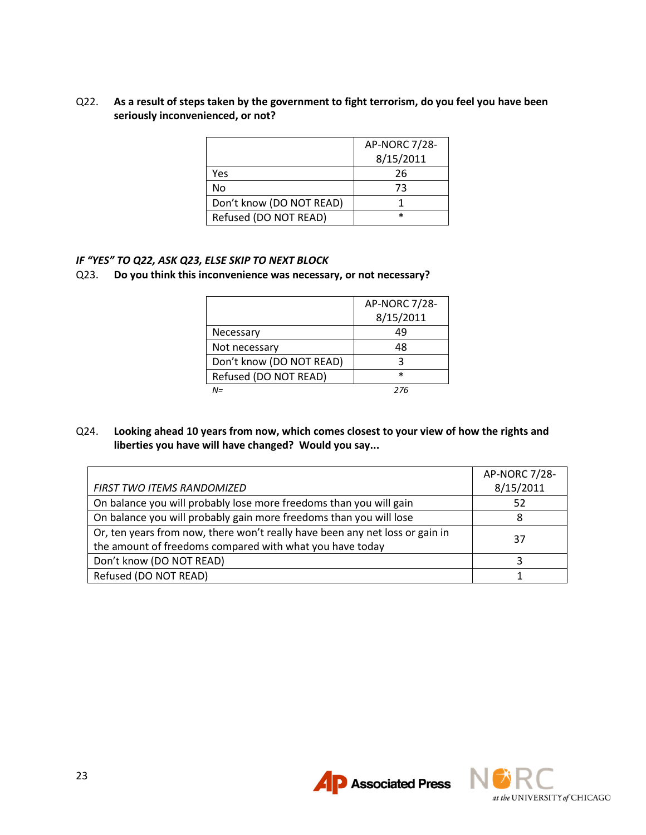## Q22. **As a result of steps taken by the government to fight terrorism, do you feel you have been seriously inconvenienced, or not?**

|                          | AP-NORC 7/28- |
|--------------------------|---------------|
|                          | 8/15/2011     |
| Yes                      | 26            |
| No                       | 73            |
| Don't know (DO NOT READ) |               |
| Refused (DO NOT READ)    | $\ast$        |

## *IF "YES" TO Q22, ASK Q23, ELSE SKIP TO NEXT BLOCK*

#### Q23. **Do you think this inconvenience was necessary, or not necessary?**

|                          | AP-NORC 7/28- |
|--------------------------|---------------|
|                          | 8/15/2011     |
| Necessary                | 49            |
| Not necessary            | 48            |
| Don't know (DO NOT READ) |               |
| Refused (DO NOT READ)    | $\ast$        |
| N=                       | 276           |

## Q24. **Looking ahead 10 years from now, which comes closest to your view of how the rights and liberties you have will have changed? Would you say...**

|                                                                              | AP-NORC 7/28- |
|------------------------------------------------------------------------------|---------------|
| <b>FIRST TWO ITEMS RANDOMIZED</b>                                            | 8/15/2011     |
| On balance you will probably lose more freedoms than you will gain           | 52            |
| On balance you will probably gain more freedoms than you will lose           |               |
| Or, ten years from now, there won't really have been any net loss or gain in | 37            |
| the amount of freedoms compared with what you have today                     |               |
| Don't know (DO NOT READ)                                                     |               |
| Refused (DO NOT READ)                                                        |               |



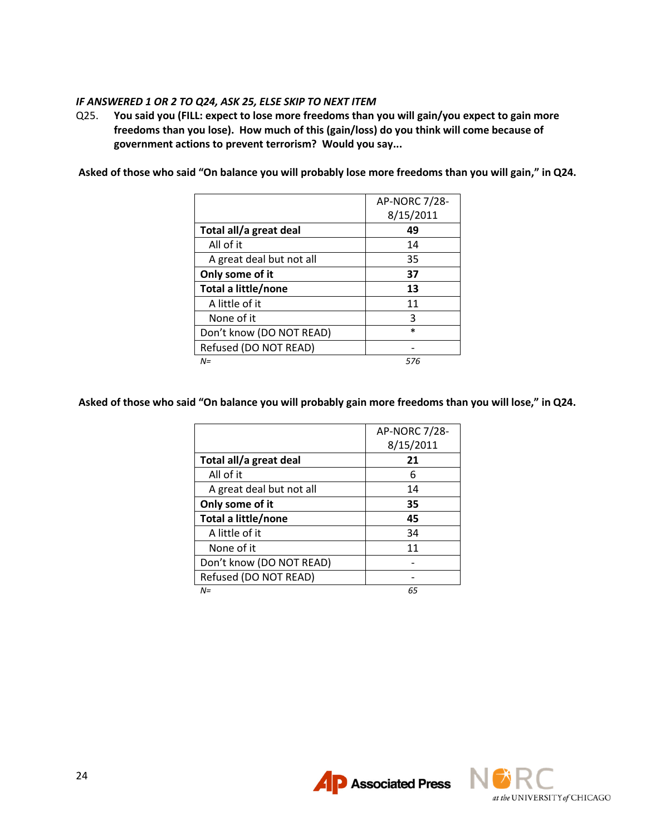## *IF ANSWERED 1 OR 2 TO Q24, ASK 25, ELSE SKIP TO NEXT ITEM*

Q25. **You said you (FILL: expect to lose more freedoms than you will gain/you expect to gain more freedoms than you lose). How much of this (gain/loss) do you think will come because of government actions to prevent terrorism? Would you say...**

**Asked of those who said "On balance you will probably lose more freedoms than you will gain," in Q24.**

|                          | AP-NORC 7/28- |
|--------------------------|---------------|
|                          | 8/15/2011     |
| Total all/a great deal   | 49            |
| All of it                | 14            |
| A great deal but not all | 35            |
| Only some of it          | 37            |
| Total a little/none      | 13            |
| A little of it           | 11            |
| None of it               | 3             |
| Don't know (DO NOT READ) | $\ast$        |
| Refused (DO NOT READ)    |               |
| $N =$                    | 576           |

**Asked of those who said "On balance you will probably gain more freedoms than you will lose," in Q24.**

|                          | AP-NORC 7/28- |
|--------------------------|---------------|
|                          | 8/15/2011     |
| Total all/a great deal   | 21            |
| All of it                | 6             |
| A great deal but not all | 14            |
| Only some of it          | 35            |
| Total a little/none      | 45            |
| A little of it           | 34            |
| None of it               | 11            |
| Don't know (DO NOT READ) |               |
| Refused (DO NOT READ)    |               |
| N=                       | 65            |



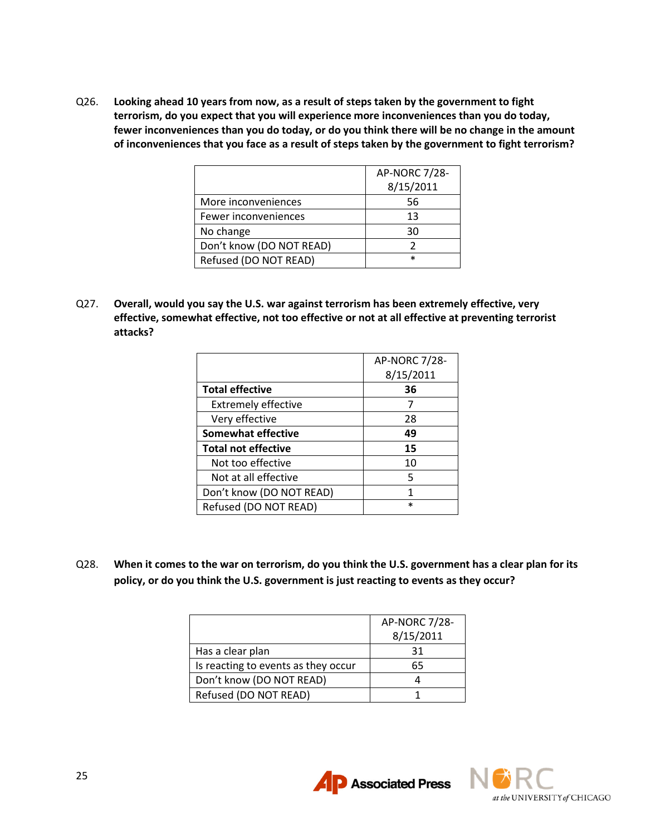Q26. **Looking ahead 10 years from now, as a result of steps taken by the government to fight terrorism, do you expect that you will experience more inconveniences than you do today, fewer inconveniences than you do today, or do you think there will be no change in the amount of inconveniences that you face as a result of steps taken by the government to fight terrorism?**

|                          | AP-NORC 7/28- |
|--------------------------|---------------|
|                          | 8/15/2011     |
| More inconveniences      | 56            |
| Fewer inconveniences     | 13            |
| No change                | 30            |
| Don't know (DO NOT READ) |               |
| Refused (DO NOT READ)    | $\ast$        |

Q27. **Overall, would you say the U.S. war against terrorism has been extremely effective, very effective, somewhat effective, not too effective or not at all effective at preventing terrorist attacks?**

|                            | <b>AP-NORC 7/28-</b> |
|----------------------------|----------------------|
|                            | 8/15/2011            |
| <b>Total effective</b>     | 36                   |
| <b>Extremely effective</b> |                      |
| Very effective             | 28                   |
| <b>Somewhat effective</b>  | 49                   |
| <b>Total not effective</b> | 15                   |
| Not too effective          | 10                   |
| Not at all effective       | 5                    |
| Don't know (DO NOT READ)   | 1                    |
| Refused (DO NOT READ)      | $\ast$               |

Q28. **When it comes to the war on terrorism, do you think the U.S. government has a clear plan for its policy, or do you think the U.S. government is just reacting to events as they occur?**

|                                     | AP-NORC 7/28- |
|-------------------------------------|---------------|
|                                     | 8/15/2011     |
| Has a clear plan                    | 31            |
| Is reacting to events as they occur | 65            |
| Don't know (DO NOT READ)            |               |
| Refused (DO NOT READ)               |               |

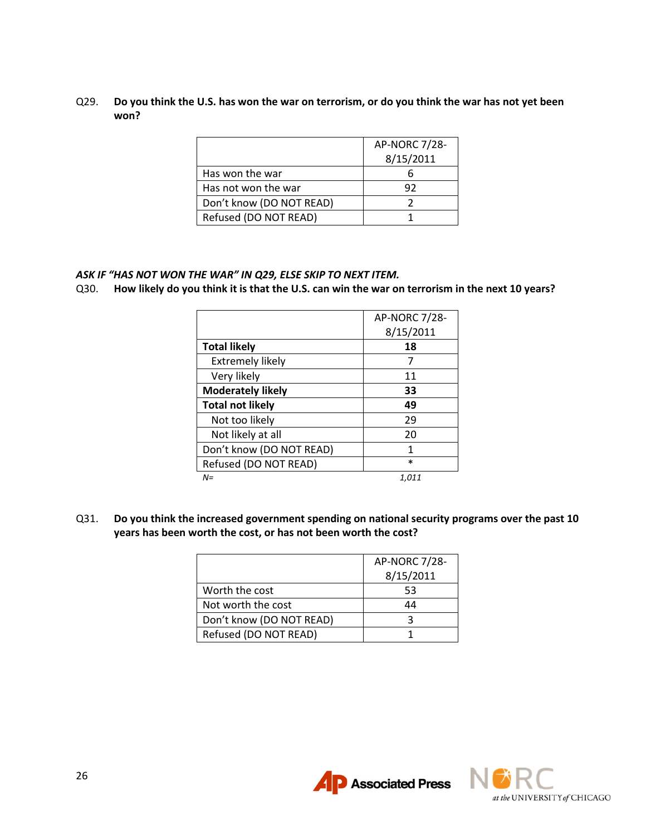Q29. **Do you think the U.S. has won the war on terrorism, or do you think the war has not yet been won?**

|                          | AP-NORC 7/28-<br>8/15/2011 |
|--------------------------|----------------------------|
| Has won the war          |                            |
| Has not won the war      | 92                         |
| Don't know (DO NOT READ) |                            |
| Refused (DO NOT READ)    |                            |

## *ASK IF "HAS NOT WON THE WAR" IN Q29, ELSE SKIP TO NEXT ITEM.*

Q30. **How likely do you think it is that the U.S. can win the war on terrorism in the next 10 years?**

|                          | AP-NORC 7/28- |
|--------------------------|---------------|
|                          | 8/15/2011     |
| <b>Total likely</b>      | 18            |
| <b>Extremely likely</b>  | 7             |
| Very likely              | 11            |
| <b>Moderately likely</b> | 33            |
| <b>Total not likely</b>  | 49            |
| Not too likely           | 29            |
| Not likely at all        | 20            |
| Don't know (DO NOT READ) | 1             |
| Refused (DO NOT READ)    | $\ast$        |
| $N =$                    | 1,011         |

Q31. **Do you think the increased government spending on national security programs over the past 10 years has been worth the cost, or has not been worth the cost?**

|                          | AP-NORC 7/28- |
|--------------------------|---------------|
|                          | 8/15/2011     |
| Worth the cost           | 53            |
| Not worth the cost       | 44            |
| Don't know (DO NOT READ) |               |
| Refused (DO NOT READ)    |               |



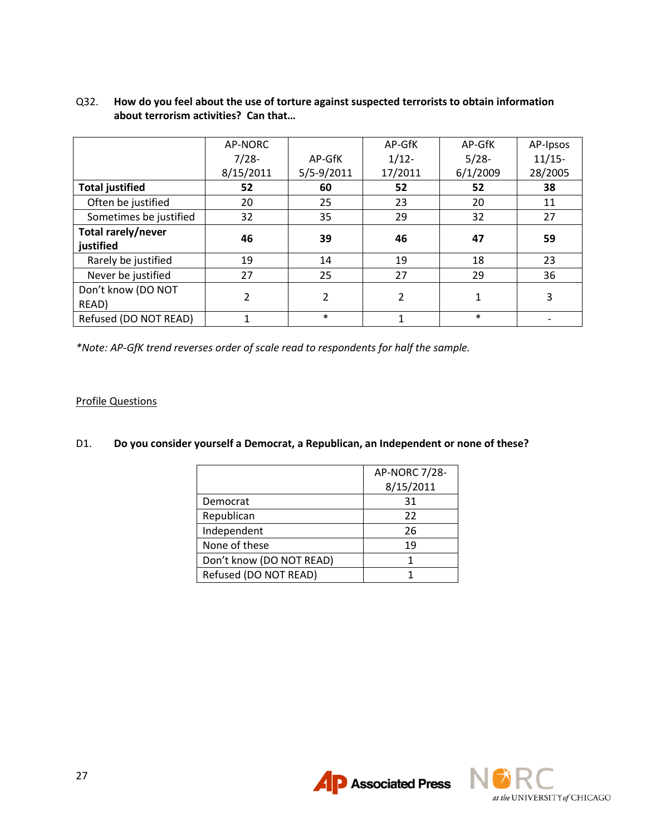|                        | AP-NORC        |                | AP-GfK  | AP-GfK   | AP-Ipsos |
|------------------------|----------------|----------------|---------|----------|----------|
|                        | $7/28-$        | AP-GfK         | $1/12-$ | $5/28-$  | $11/15-$ |
|                        | 8/15/2011      | $5/5 - 9/2011$ | 17/2011 | 6/1/2009 | 28/2005  |
| <b>Total justified</b> | 52             | 60             | 52      | 52       | 38       |
| Often be justified     | 20             | 25             | 23      | 20       | 11       |
| Sometimes be justified | 32             | 35             | 29      | 32       | 27       |
| Total rarely/never     |                |                |         |          |          |
| justified              | 46             | 39             | 46      | 47       | 59       |
| Rarely be justified    | 19             | 14             | 19      | 18       | 23       |
| Never be justified     | 27             | 25             | 27      | 29       | 36       |
| Don't know (DO NOT     |                |                |         |          |          |
| READ)                  | $\overline{2}$ | 2              | 2       | 1        | 3        |
| Refused (DO NOT READ)  | 1              | $\ast$         | 1       | $\ast$   |          |

## Q32. **How do you feel about the use of torture against suspected terrorists to obtain information about terrorism activities? Can that…**

*\*Note: AP-GfK trend reverses order of scale read to respondents for half the sample.*

## Profile Questions

#### D1. **Do you consider yourself a Democrat, a Republican, an Independent or none of these?**

|                          | AP-NORC 7/28- |
|--------------------------|---------------|
|                          | 8/15/2011     |
| Democrat                 | 31            |
| Republican               | 22            |
| Independent              | 26            |
| None of these            | 19            |
| Don't know (DO NOT READ) |               |
| Refused (DO NOT READ)    |               |

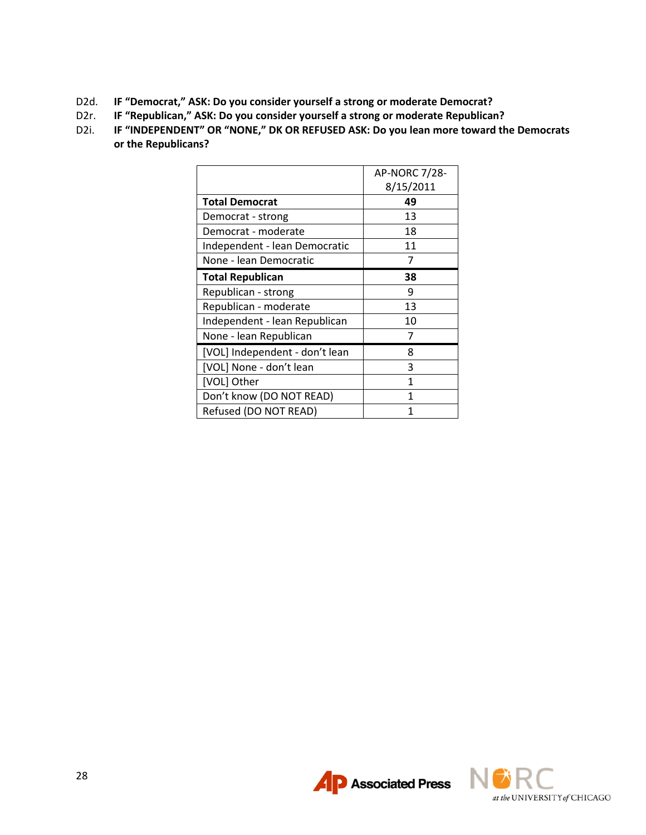- D2d. **IF "Democrat," ASK: Do you consider yourself a strong or moderate Democrat?**
- D2r. **IF "Republican," ASK: Do you consider yourself a strong or moderate Republican?**
- D2i. **IF "INDEPENDENT" OR "NONE," DK OR REFUSED ASK: Do you lean more toward the Democrats or the Republicans?**

|                                | <b>AP-NORC 7/28-</b> |
|--------------------------------|----------------------|
|                                | 8/15/2011            |
| <b>Total Democrat</b>          | 49                   |
| Democrat - strong              | 13                   |
| Democrat - moderate            | 18                   |
| Independent - lean Democratic  | 11                   |
| None - lean Democratic         | 7                    |
| <b>Total Republican</b>        | 38                   |
| Republican - strong            | 9                    |
| Republican - moderate          | 13                   |
| Independent - lean Republican  | 10                   |
| None - lean Republican         | 7                    |
| [VOL] Independent - don't lean | 8                    |
| [VOL] None - don't lean        | 3                    |
| [VOL] Other                    | 1                    |
| Don't know (DO NOT READ)       | 1                    |
| Refused (DO NOT READ)          | 1                    |



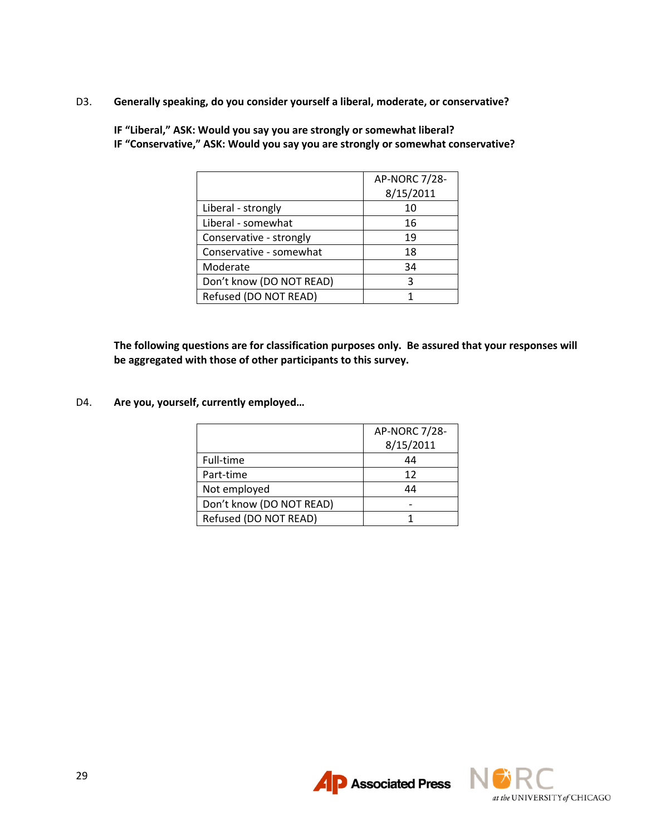D3. **Generally speaking, do you consider yourself a liberal, moderate, or conservative?** 

|                          | <b>AP-NORC 7/28-</b> |
|--------------------------|----------------------|
|                          | 8/15/2011            |
| Liberal - strongly       | 10                   |
| Liberal - somewhat       | 16                   |
| Conservative - strongly  | 19                   |
| Conservative - somewhat  | 18                   |
| Moderate                 | 34                   |
| Don't know (DO NOT READ) | 3                    |
| Refused (DO NOT READ)    |                      |

**IF "Liberal," ASK: Would you say you are strongly or somewhat liberal? IF "Conservative," ASK: Would you say you are strongly or somewhat conservative?**

**The following questions are for classification purposes only. Be assured that your responses will be aggregated with those of other participants to this survey.** 

D4. **Are you, yourself, currently employed…**

|                          | AP-NORC 7/28- |
|--------------------------|---------------|
|                          | 8/15/2011     |
| Full-time                | 44            |
| Part-time                | 12            |
| Not employed             | 44            |
| Don't know (DO NOT READ) |               |
| Refused (DO NOT READ)    |               |



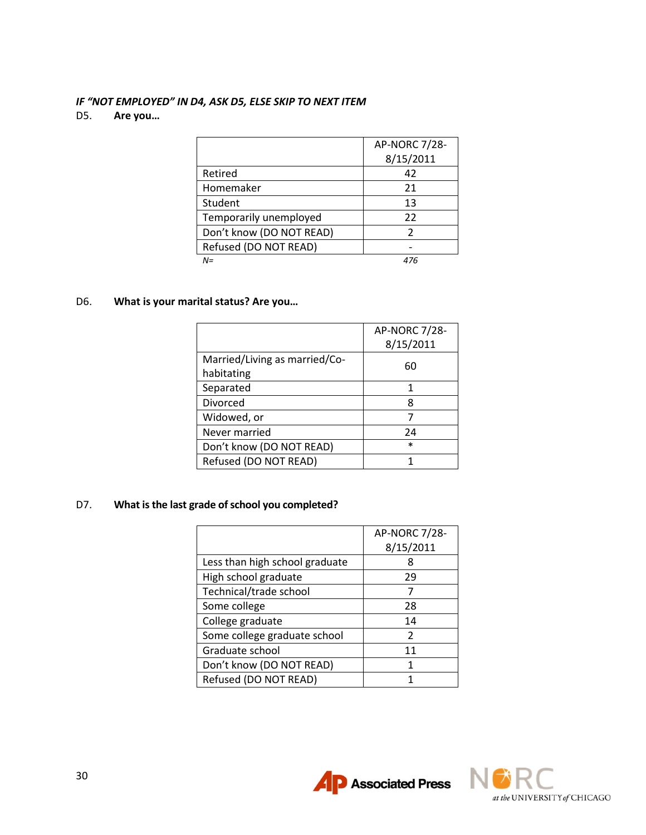# *IF "NOT EMPLOYED" IN D4, ASK D5, ELSE SKIP TO NEXT ITEM*

## D5. **Are you…**

|                          | <b>AP-NORC 7/28-</b> |
|--------------------------|----------------------|
|                          | 8/15/2011            |
| Retired                  | 42                   |
| Homemaker                | 21                   |
| Student                  | 13                   |
| Temporarily unemployed   | 22                   |
| Don't know (DO NOT READ) | 2                    |
| Refused (DO NOT READ)    |                      |
| $N =$                    | 476                  |

## D6. **What is your marital status? Are you…**

|                               | AP-NORC 7/28- |
|-------------------------------|---------------|
|                               | 8/15/2011     |
| Married/Living as married/Co- | 60            |
| habitating                    |               |
| Separated                     |               |
| <b>Divorced</b>               | я             |
| Widowed, or                   |               |
| Never married                 | 24            |
| Don't know (DO NOT READ)      | $\ast$        |
| Refused (DO NOT READ)         |               |

## D7. **What is the last grade of school you completed?**

|                                | <b>AP-NORC 7/28-</b> |
|--------------------------------|----------------------|
|                                | 8/15/2011            |
| Less than high school graduate | 8                    |
| High school graduate           | 29                   |
| Technical/trade school         |                      |
| Some college                   | 28                   |
| College graduate               | 14                   |
| Some college graduate school   | 2                    |
| Graduate school                | 11                   |
| Don't know (DO NOT READ)       | 1                    |
| Refused (DO NOT READ)          |                      |

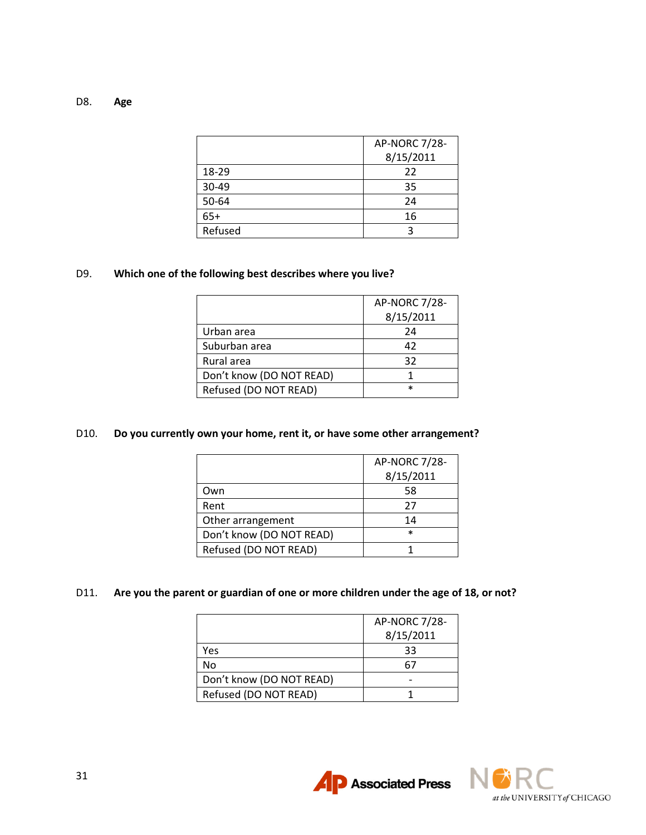| D8. | Age |
|-----|-----|
|-----|-----|

|         | AP-NORC 7/28- |
|---------|---------------|
|         | 8/15/2011     |
| 18-29   | 22            |
| 30-49   | 35            |
| 50-64   | 24            |
| $65+$   | 16            |
| Refused |               |

## D9. **Which one of the following best describes where you live?**

|                          | <b>AP-NORC 7/28-</b> |
|--------------------------|----------------------|
|                          | 8/15/2011            |
| Urban area               | 24                   |
| Suburban area            | 42                   |
| Rural area               | 32                   |
| Don't know (DO NOT READ) |                      |
| Refused (DO NOT READ)    | $\star$              |

#### D10. **Do you currently own your home, rent it, or have some other arrangement?**

|                          | AP-NORC 7/28- |
|--------------------------|---------------|
|                          | 8/15/2011     |
| Own                      | 58            |
| Rent                     | 27            |
| Other arrangement        | 14            |
| Don't know (DO NOT READ) | $\ast$        |
| Refused (DO NOT READ)    |               |

# D11. **Are you the parent or guardian of one or more children under the age of 18, or not?**

|                          | AP-NORC 7/28-<br>8/15/2011 |
|--------------------------|----------------------------|
| Yes                      | 33                         |
| No                       | 6.                         |
| Don't know (DO NOT READ) |                            |
| Refused (DO NOT READ)    |                            |

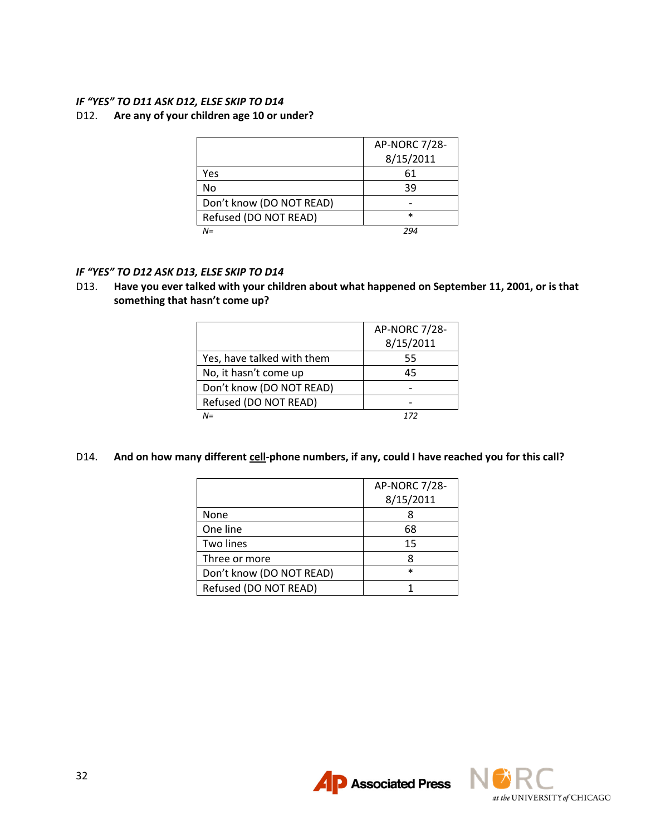## *IF "YES" TO D11 ASK D12, ELSE SKIP TO D14*

#### D12. **Are any of your children age 10 or under?**

|                          | <b>AP-NORC 7/28-</b> |
|--------------------------|----------------------|
|                          | 8/15/2011            |
| Yes                      | 61                   |
| No                       | 39                   |
| Don't know (DO NOT READ) |                      |
| Refused (DO NOT READ)    | $\ast$               |
| $N =$                    | 294                  |

#### *IF "YES" TO D12 ASK D13, ELSE SKIP TO D14*

D13. **Have you ever talked with your children about what happened on September 11, 2001, or is that something that hasn't come up?**

|                            | AP-NORC 7/28- |
|----------------------------|---------------|
|                            | 8/15/2011     |
| Yes, have talked with them | 55            |
| No, it hasn't come up      | 45            |
| Don't know (DO NOT READ)   |               |
| Refused (DO NOT READ)      |               |
| $N =$                      | 177           |

D14. And on how many different cell-phone numbers, if any, could I have reached you for this call?

|                          | AP-NORC 7/28- |
|--------------------------|---------------|
|                          | 8/15/2011     |
| None                     |               |
| One line                 | 68            |
| Two lines                | 15            |
| Three or more            |               |
| Don't know (DO NOT READ) | $\ast$        |
| Refused (DO NOT READ)    |               |



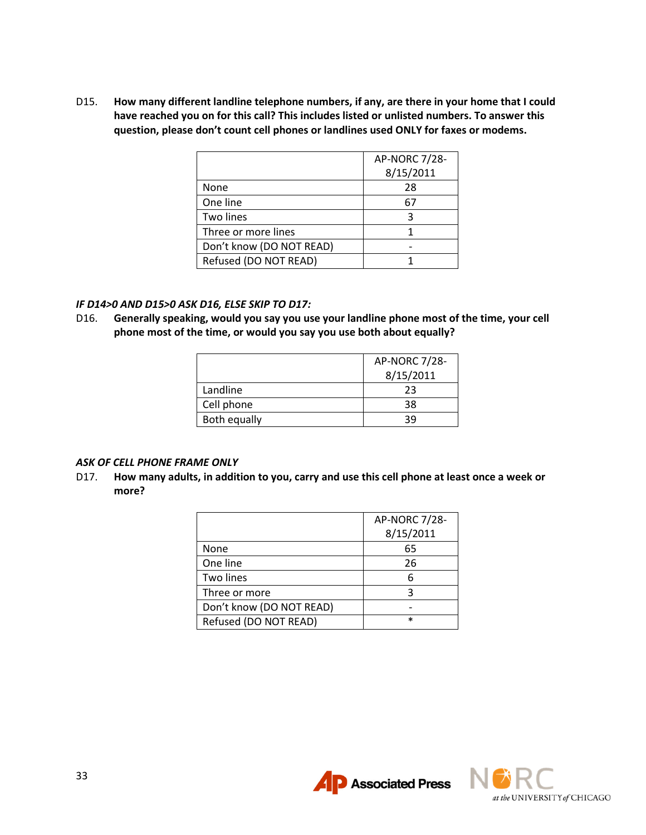D15. **How many different landline telephone numbers, if any, are there in your home that I could have reached you on for this call? This includes listed or unlisted numbers. To answer this question, please don't count cell phones or landlines used ONLY for faxes or modems.**

|                          | <b>AP-NORC 7/28-</b> |
|--------------------------|----------------------|
|                          | 8/15/2011            |
| None                     | 28                   |
| One line                 | 67                   |
| Two lines                | ર                    |
| Three or more lines      |                      |
| Don't know (DO NOT READ) |                      |
| Refused (DO NOT READ)    |                      |

#### *IF D14>0 AND D15>0 ASK D16, ELSE SKIP TO D17:*

D16. **Generally speaking, would you say you use your landline phone most of the time, your cell phone most of the time, or would you say you use both about equally?**

|              | AP-NORC 7/28- |
|--------------|---------------|
|              | 8/15/2011     |
| Landline     | 23            |
| Cell phone   | 38            |
| Both equally | วด            |

#### *ASK OF CELL PHONE FRAME ONLY*

D17. **How many adults, in addition to you, carry and use this cell phone at least once a week or more?**

|                          | <b>AP-NORC 7/28-</b> |
|--------------------------|----------------------|
|                          | 8/15/2011            |
| None                     | 65                   |
| One line                 | 26                   |
| Two lines                |                      |
| Three or more            |                      |
| Don't know (DO NOT READ) |                      |
| Refused (DO NOT READ)    | $\ast$               |



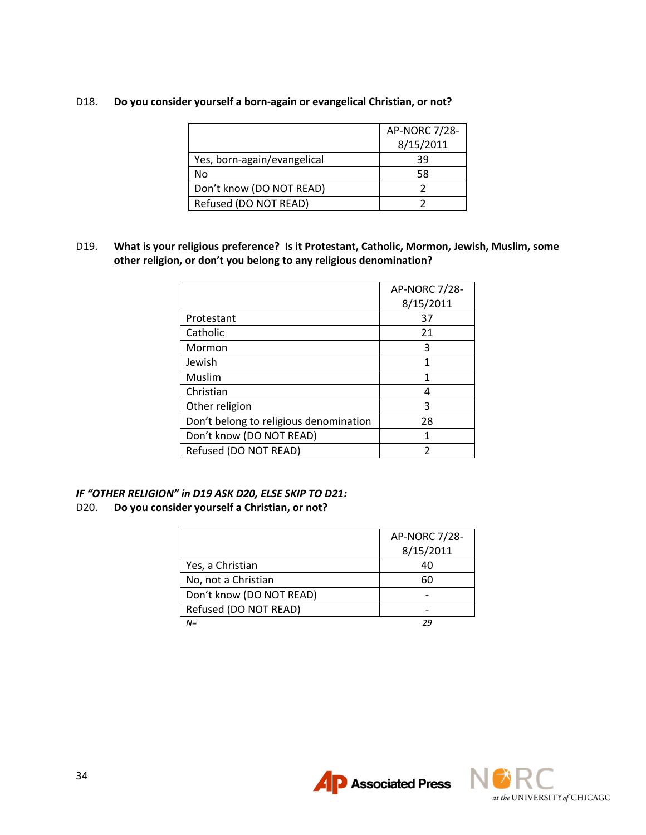## D18. **Do you consider yourself a born-again or evangelical Christian, or not?**

|                             | AP-NORC 7/28-<br>8/15/2011 |
|-----------------------------|----------------------------|
| Yes, born-again/evangelical | 39                         |
| No                          | 58                         |
| Don't know (DO NOT READ)    |                            |
| Refused (DO NOT READ)       |                            |

D19. **What is your religious preference? Is it Protestant, Catholic, Mormon, Jewish, Muslim, some other religion, or don't you belong to any religious denomination?**

|                                        | AP-NORC 7/28- |
|----------------------------------------|---------------|
|                                        | 8/15/2011     |
| Protestant                             | 37            |
| Catholic                               | 21            |
| Mormon                                 | 3             |
| Jewish                                 | 1             |
| Muslim                                 | 1             |
| Christian                              | 4             |
| Other religion                         | 3             |
| Don't belong to religious denomination | 28            |
| Don't know (DO NOT READ)               | 1             |
| Refused (DO NOT READ)                  | 2             |

## *IF "OTHER RELIGION" in D19 ASK D20, ELSE SKIP TO D21:* D20. **Do you consider yourself a Christian, or not?**

|                          | AP-NORC 7/28- |
|--------------------------|---------------|
|                          | 8/15/2011     |
| Yes, a Christian         | 40            |
| No, not a Christian      | 60            |
| Don't know (DO NOT READ) |               |
| Refused (DO NOT READ)    |               |
| $N =$                    | 2G            |



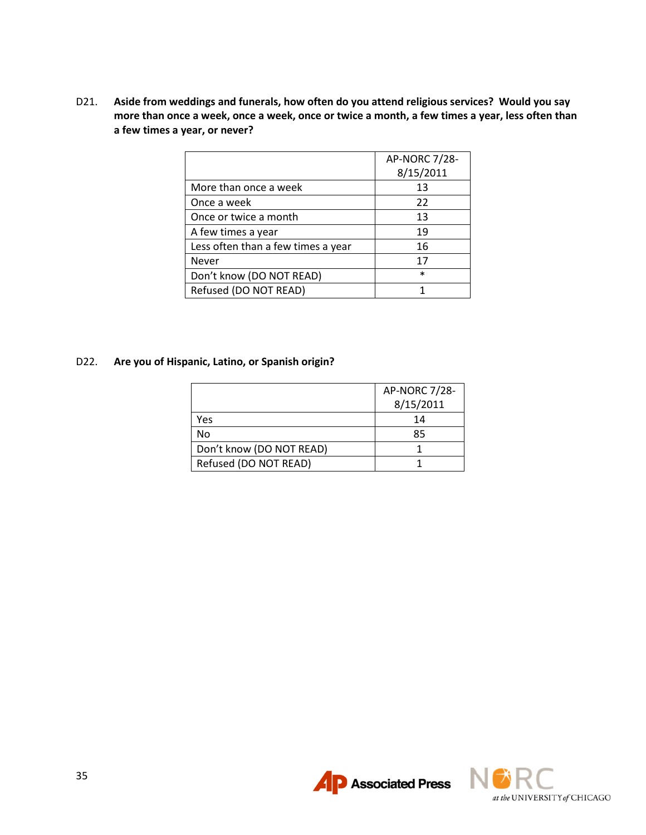D21. **Aside from weddings and funerals, how often do you attend religious services? Would you say more than once a week, once a week, once or twice a month, a few times a year, less often than a few times a year, or never?**

|                                    | AP-NORC 7/28- |
|------------------------------------|---------------|
|                                    | 8/15/2011     |
| More than once a week              | 13            |
| Once a week                        | 22            |
| Once or twice a month              | 13            |
| A few times a year                 | 19            |
| Less often than a few times a year | 16            |
| <b>Never</b>                       | 17            |
| Don't know (DO NOT READ)           | $\ast$        |
| Refused (DO NOT READ)              |               |

#### D22. **Are you of Hispanic, Latino, or Spanish origin?**

|                          | <b>AP-NORC 7/28-</b> |
|--------------------------|----------------------|
|                          | 8/15/2011            |
| Yes                      | 14                   |
| No                       | 85                   |
| Don't know (DO NOT READ) |                      |
| Refused (DO NOT READ)    |                      |



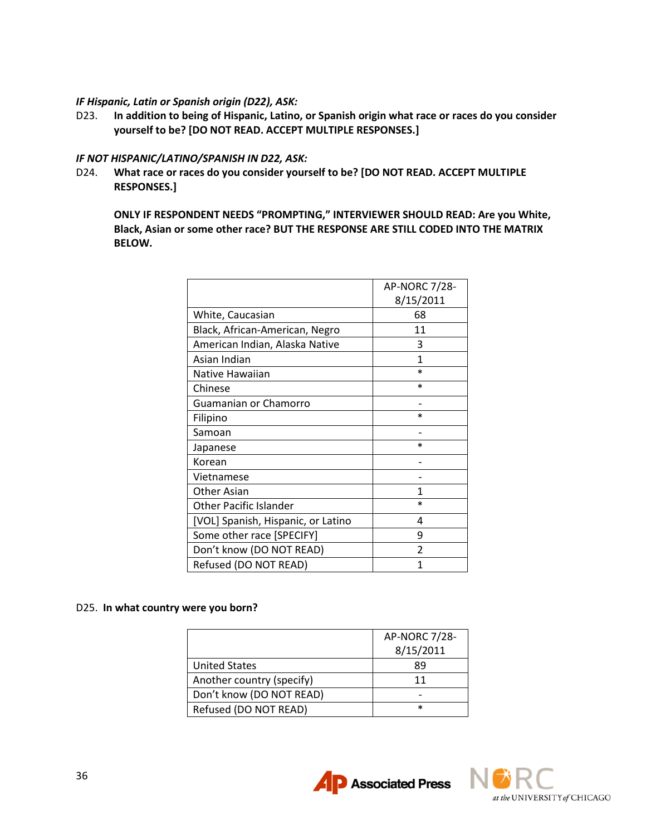#### *IF Hispanic, Latin or Spanish origin (D22), ASK:*

D23. **In addition to being of Hispanic, Latino, or Spanish origin what race or races do you consider yourself to be? [DO NOT READ. ACCEPT MULTIPLE RESPONSES.]**

#### *IF NOT HISPANIC/LATINO/SPANISH IN D22, ASK:*

D24. **What race or races do you consider yourself to be? [DO NOT READ. ACCEPT MULTIPLE RESPONSES.]**

**ONLY IF RESPONDENT NEEDS "PROMPTING," INTERVIEWER SHOULD READ: Are you White, Black, Asian or some other race? BUT THE RESPONSE ARE STILL CODED INTO THE MATRIX BELOW.**

|                                    | AP-NORC 7/28- |
|------------------------------------|---------------|
|                                    | 8/15/2011     |
| White, Caucasian                   | 68            |
| Black, African-American, Negro     | 11            |
| American Indian, Alaska Native     | 3             |
| Asian Indian                       | 1             |
| Native Hawaiian                    | $\ast$        |
| Chinese                            | $\ast$        |
| Guamanian or Chamorro              |               |
| Filipino                           | $\ast$        |
| Samoan                             |               |
| Japanese                           | $^{\star}$    |
| Korean                             |               |
| Vietnamese                         |               |
| <b>Other Asian</b>                 | 1             |
| <b>Other Pacific Islander</b>      | $\ast$        |
| [VOL] Spanish, Hispanic, or Latino | 4             |
| Some other race [SPECIFY]          | ٩             |
| Don't know (DO NOT READ)           | $\mathfrak z$ |
| Refused (DO NOT READ)              | 1             |

#### D25. **In what country were you born?**

|                           | AP-NORC 7/28- |
|---------------------------|---------------|
|                           | 8/15/2011     |
| <b>United States</b>      | 89            |
| Another country (specify) | 11            |
| Don't know (DO NOT READ)  |               |
| Refused (DO NOT READ)     | $\ast$        |

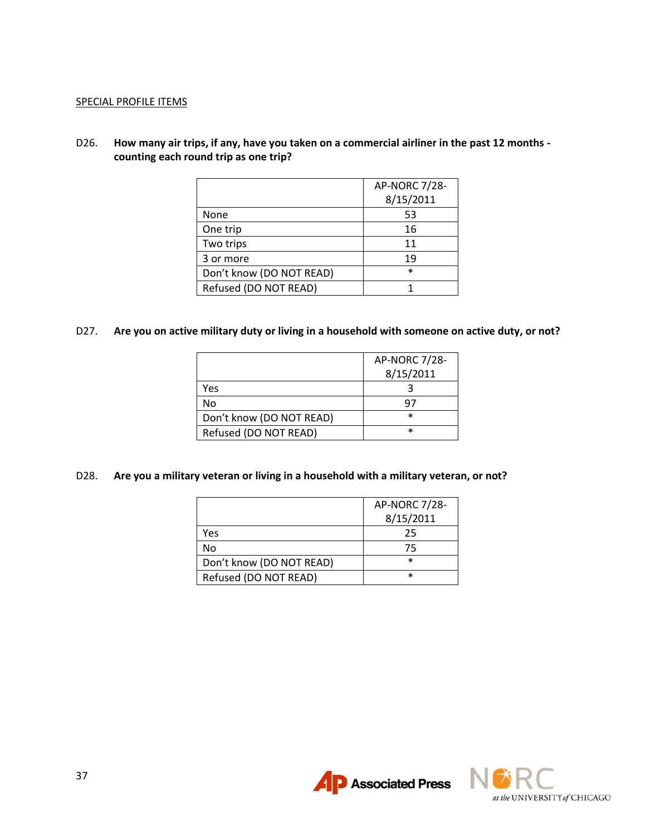#### SPECIAL PROFILE ITEMS

D26. **How many air trips, if any, have you taken on a commercial airliner in the past 12 months counting each round trip as one trip?**

|                          | AP-NORC 7/28- |
|--------------------------|---------------|
|                          | 8/15/2011     |
| None                     | 53            |
| One trip                 | 16            |
| Two trips                | 11            |
| 3 or more                | 19            |
| Don't know (DO NOT READ) | $\ast$        |
| Refused (DO NOT READ)    |               |

## D27. **Are you on active military duty or living in a household with someone on active duty, or not?**

|                          | AP-NORC 7/28- |
|--------------------------|---------------|
|                          | 8/15/2011     |
| Yes                      |               |
| No                       | u,            |
| Don't know (DO NOT READ) | $\ast$        |
| Refused (DO NOT READ)    | $\ast$        |

## D28. **Are you a military veteran or living in a household with a military veteran, or not?**

|                          | AP-NORC 7/28- |
|--------------------------|---------------|
|                          | 8/15/2011     |
| Yes                      | 25            |
| No                       | 75            |
| Don't know (DO NOT READ) | $\ast$        |
| Refused (DO NOT READ)    | $\ast$        |



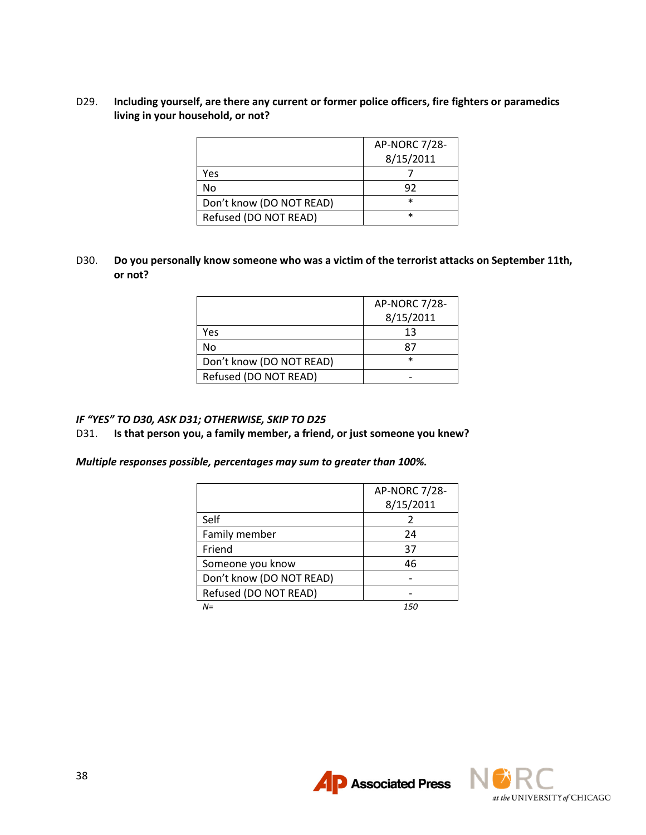## D29. **Including yourself, are there any current or former police officers, fire fighters or paramedics living in your household, or not?**

|                          | AP-NORC 7/28- |
|--------------------------|---------------|
|                          | 8/15/2011     |
| Yes                      |               |
| No                       | 92            |
| Don't know (DO NOT READ) | $\ast$        |
| Refused (DO NOT READ)    | $\ast$        |

## D30. **Do you personally know someone who was a victim of the terrorist attacks on September 11th, or not?**

|                          | AP-NORC 7/28- |
|--------------------------|---------------|
|                          | 8/15/2011     |
| Yes                      | 13            |
| No                       | X.            |
| Don't know (DO NOT READ) | $\ast$        |
| Refused (DO NOT READ)    |               |

#### *IF "YES" TO D30, ASK D31; OTHERWISE, SKIP TO D25*

#### D31. **Is that person you, a family member, a friend, or just someone you knew?**

*Multiple responses possible, percentages may sum to greater than 100%.*

|                          | <b>AP-NORC 7/28-</b> |
|--------------------------|----------------------|
|                          | 8/15/2011            |
| Self                     |                      |
| Family member            | 24                   |
| Friend                   | 37                   |
| Someone you know         | 46                   |
| Don't know (DO NOT READ) |                      |
| Refused (DO NOT READ)    |                      |
| $N =$                    | 150                  |



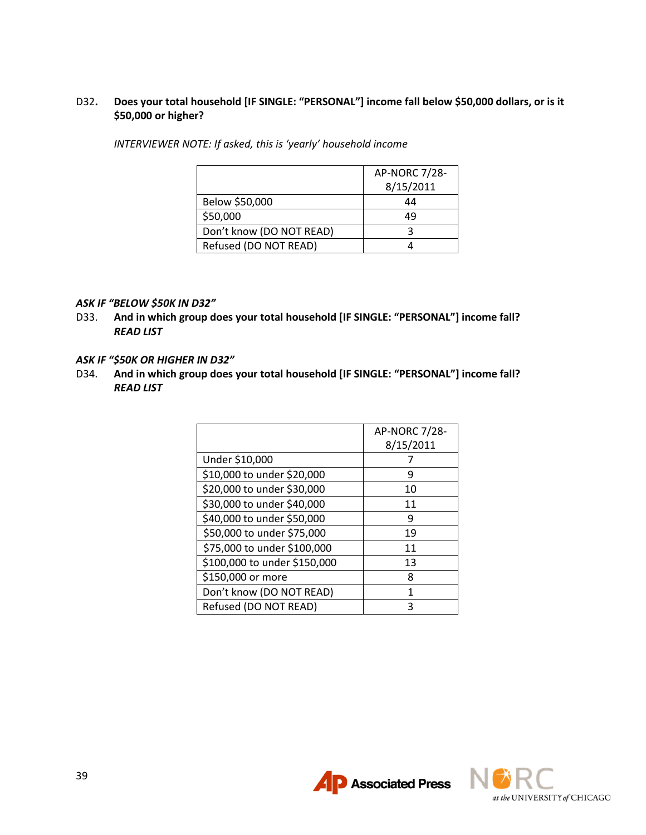## D32**. Does your total household [IF SINGLE: "PERSONAL"] income fall below \$50,000 dollars, or is it \$50,000 or higher?**

*INTERVIEWER NOTE: If asked, this is 'yearly' household income*

|                          | AP-NORC 7/28- |
|--------------------------|---------------|
|                          | 8/15/2011     |
| Below \$50,000           | 44            |
| \$50,000                 | ΔΟ            |
| Don't know (DO NOT READ) |               |
| Refused (DO NOT READ)    |               |

#### *ASK IF "BELOW \$50K IN D32"*

D33. **And in which group does your total household [IF SINGLE: "PERSONAL"] income fall?** *READ LIST*

#### *ASK IF "\$50K OR HIGHER IN D32"*

D34. **And in which group does your total household [IF SINGLE: "PERSONAL"] income fall?** *READ LIST*

|                              | <b>AP-NORC 7/28-</b><br>8/15/2011 |
|------------------------------|-----------------------------------|
| Under \$10,000               |                                   |
| \$10,000 to under \$20,000   | q                                 |
| \$20,000 to under \$30,000   | 10                                |
| \$30,000 to under \$40,000   | 11                                |
| \$40,000 to under \$50,000   | q                                 |
| \$50,000 to under \$75,000   | 19                                |
| \$75,000 to under \$100,000  | 11                                |
| \$100,000 to under \$150,000 | 13                                |
| \$150,000 or more            | 8                                 |
| Don't know (DO NOT READ)     | 1                                 |
| Refused (DO NOT READ)        |                                   |



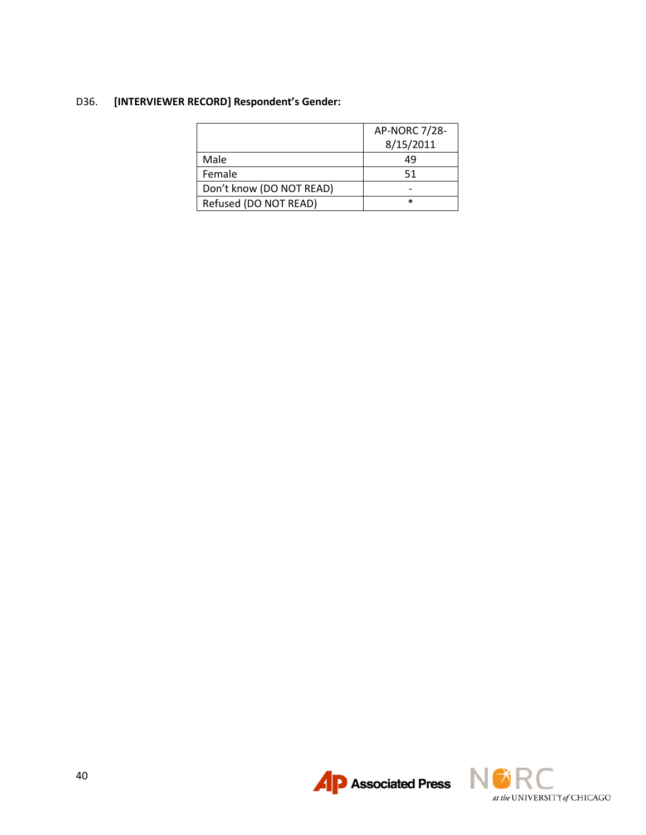# D36. **[INTERVIEWER RECORD] Respondent's Gender:**

|                          | AP-NORC 7/28- |
|--------------------------|---------------|
|                          | 8/15/2011     |
| Male                     | 49            |
| Female                   | 51            |
| Don't know (DO NOT READ) |               |
| Refused (DO NOT READ)    | $\ast$        |